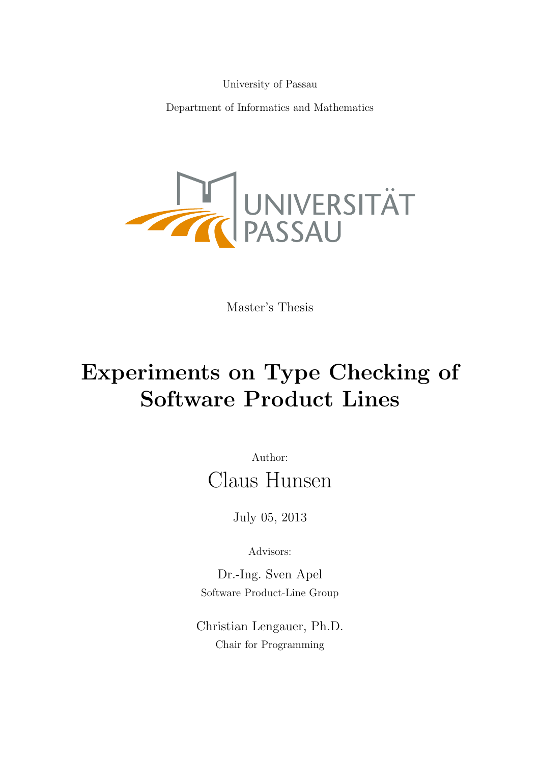University of Passau

Department of Informatics and Mathematics



Master's Thesis

# Experiments on Type Checking of Software Product Lines

Author: Claus Hunsen

July 05, 2013

Advisors:

Dr.-Ing. Sven Apel Software Product-Line Group

Christian Lengauer, Ph.D. Chair for Programming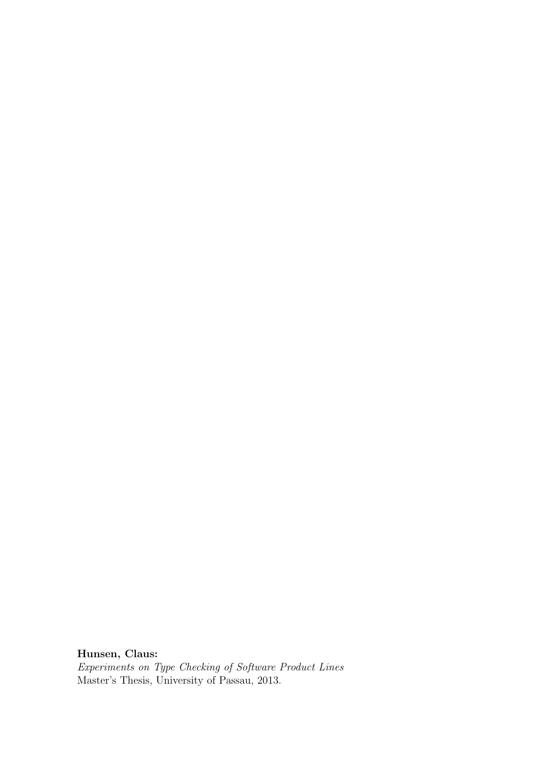Hunsen, Claus:

Experiments on Type Checking of Software Product Lines Master's Thesis, University of Passau, 2013.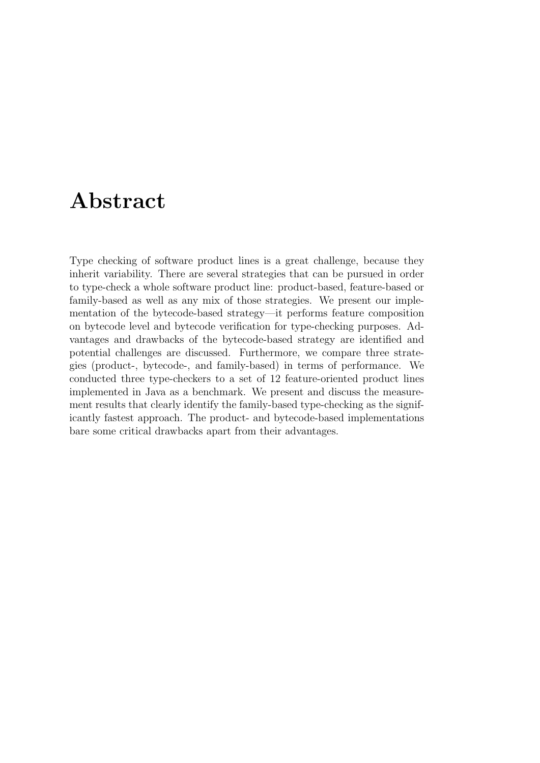# Abstract

Type checking of software product lines is a great challenge, because they inherit variability. There are several strategies that can be pursued in order to type-check a whole software product line: product-based, feature-based or family-based as well as any mix of those strategies. We present our implementation of the bytecode-based strategy—it performs feature composition on bytecode level and bytecode verification for type-checking purposes. Advantages and drawbacks of the bytecode-based strategy are identified and potential challenges are discussed. Furthermore, we compare three strategies (product-, bytecode-, and family-based) in terms of performance. We conducted three type-checkers to a set of 12 feature-oriented product lines implemented in Java as a benchmark. We present and discuss the measurement results that clearly identify the family-based type-checking as the significantly fastest approach. The product- and bytecode-based implementations bare some critical drawbacks apart from their advantages.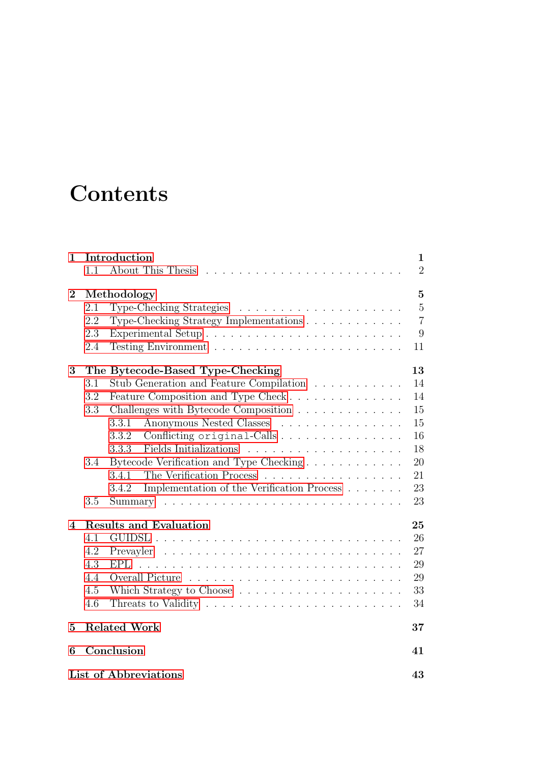# **Contents**

| 1              | Introduction<br>About This Thesis<br>1.1                                           | $\mathbf{1}$<br>$\overline{2}$                         |  |  |  |  |  |  |
|----------------|------------------------------------------------------------------------------------|--------------------------------------------------------|--|--|--|--|--|--|
| $\overline{2}$ | Methodology<br>2.1<br>2.2<br>Type-Checking Strategy Implementations<br>2.3<br>2.4  | $\overline{5}$<br>$\bf 5$<br>$\overline{7}$<br>9<br>11 |  |  |  |  |  |  |
| 3              | The Bytecode-Based Type-Checking                                                   | 13                                                     |  |  |  |  |  |  |
|                | Stub Generation and Feature Compilation<br>3.1                                     | 14                                                     |  |  |  |  |  |  |
|                | Feature Composition and Type Check<br>3.2                                          | 14                                                     |  |  |  |  |  |  |
|                | 3.3<br>Challenges with Bytecode Composition                                        | $15\,$                                                 |  |  |  |  |  |  |
|                | Anonymous Nested Classes<br>3.3.1                                                  | 15                                                     |  |  |  |  |  |  |
|                | Conflicting original-Calls<br>3.3.2                                                | 16                                                     |  |  |  |  |  |  |
|                | 3.3.3                                                                              | 18                                                     |  |  |  |  |  |  |
|                | 3.4                                                                                | 20                                                     |  |  |  |  |  |  |
|                | The Verification Process<br>3.4.1                                                  | 21                                                     |  |  |  |  |  |  |
|                | Implementation of the Verification Process<br>3.4.2                                | 23                                                     |  |  |  |  |  |  |
|                | 3.5<br>Summary                                                                     | 23                                                     |  |  |  |  |  |  |
| 4              | <b>Results and Evaluation</b>                                                      | 25                                                     |  |  |  |  |  |  |
|                | 4.1                                                                                | 26                                                     |  |  |  |  |  |  |
|                | 4.2                                                                                | 27                                                     |  |  |  |  |  |  |
|                | 4.3<br><b>EPL</b>                                                                  | 29                                                     |  |  |  |  |  |  |
|                | 4.4                                                                                | 29                                                     |  |  |  |  |  |  |
|                | 4.5<br>Which Strategy to Choose $\ldots \ldots \ldots \ldots \ldots \ldots$        | 33                                                     |  |  |  |  |  |  |
|                | 4.6<br>Threats to Validity $\dots \dots \dots \dots \dots \dots \dots \dots \dots$ | 34                                                     |  |  |  |  |  |  |
| 5              | <b>Related Work</b>                                                                | 37                                                     |  |  |  |  |  |  |
| 6              | Conclusion                                                                         | 41                                                     |  |  |  |  |  |  |
|                | List of Abbreviations<br>43                                                        |                                                        |  |  |  |  |  |  |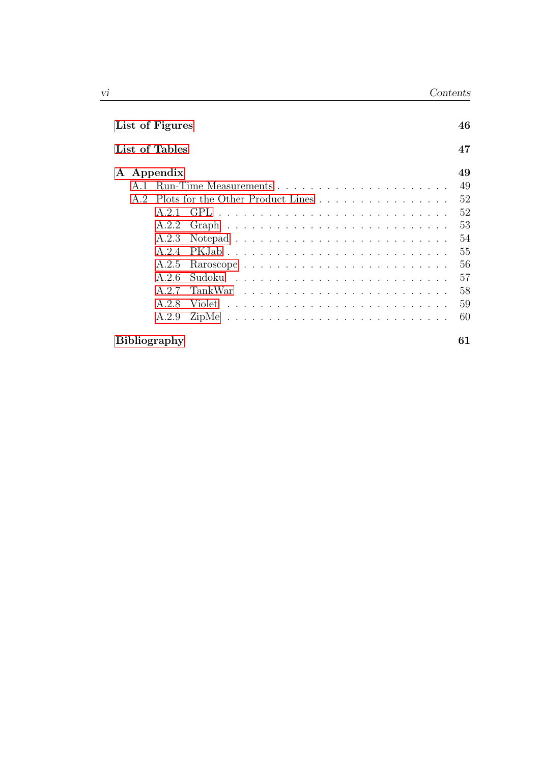| List of Figures                       |    |  |  |  |  |
|---------------------------------------|----|--|--|--|--|
| List of Tables                        | 47 |  |  |  |  |
| Appendix<br>${\bf A}$                 | 49 |  |  |  |  |
| A.1                                   | 49 |  |  |  |  |
| A.2 Plots for the Other Product Lines | 52 |  |  |  |  |
| A 21                                  | 52 |  |  |  |  |
| A.2.2                                 | 53 |  |  |  |  |
| A.2.3                                 | 54 |  |  |  |  |
| A 24                                  | 55 |  |  |  |  |
| A.2.5<br>Raroscope                    | 56 |  |  |  |  |
| A 2.6                                 | 57 |  |  |  |  |
| A 2.7<br>TankWar                      | 58 |  |  |  |  |
| A.2.8                                 | 59 |  |  |  |  |
| A.2.9                                 | 60 |  |  |  |  |
| <b>Bibliography</b>                   | 61 |  |  |  |  |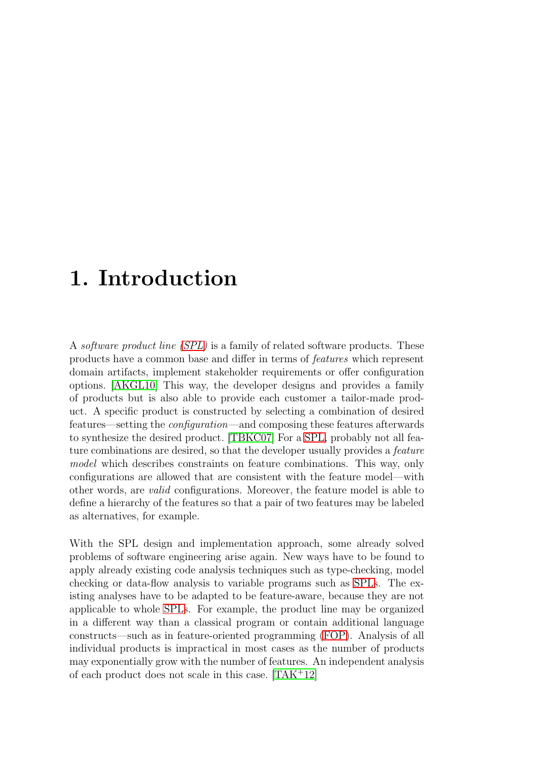# <span id="page-6-0"></span>1. Introduction

A software product line [\(SPL\)](#page-48-1) is a family of related software products. These products have a common base and differ in terms of features which represent domain artifacts, implement stakeholder requirements or offer configuration options. [\[AKGL10\]](#page-66-1) This way, the developer designs and provides a family of products but is also able to provide each customer a tailor-made product. A specific product is constructed by selecting a combination of desired features—setting the configuration—and composing these features afterwards to synthesize the desired product. [\[TBKC07\]](#page-69-0) For a [SPL,](#page-48-1) probably not all feature combinations are desired, so that the developer usually provides a feature model which describes constraints on feature combinations. This way, only configurations are allowed that are consistent with the feature model—with other words, are valid configurations. Moreover, the feature model is able to define a hierarchy of the features so that a pair of two features may be labeled as alternatives, for example.

With the SPL design and implementation approach, some already solved problems of software engineering arise again. New ways have to be found to apply already existing code analysis techniques such as type-checking, model checking or data-flow analysis to variable programs such as [SPLs](#page-48-1). The existing analyses have to be adapted to be feature-aware, because they are not applicable to whole [SPLs](#page-48-1). For example, the product line may be organized in a different way than a classical program or contain additional language constructs—such as in feature-oriented programming [\(FOP\)](#page-48-2). Analysis of all individual products is impractical in most cases as the number of products may exponentially grow with the number of features. An independent analysis of each product does not scale in this case. [\[TAK](#page-69-1)<sup>+</sup>12]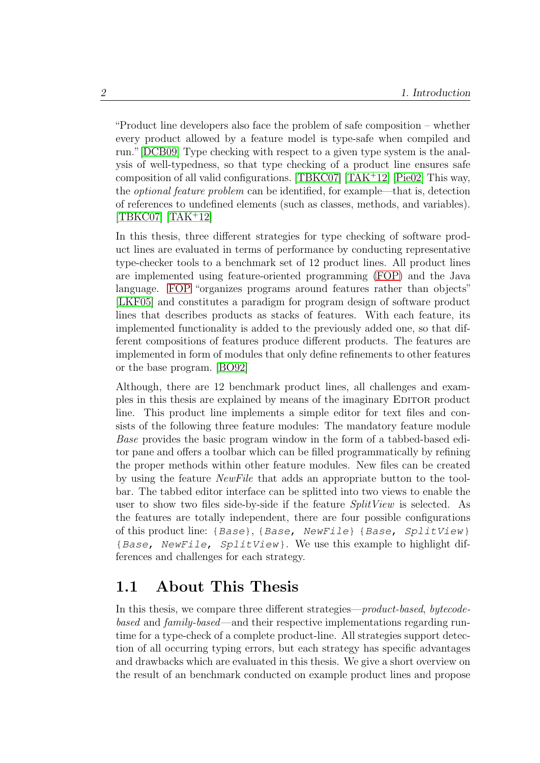"Product line developers also face the problem of safe composition – whether every product allowed by a feature model is type-safe when compiled and run."[\[DCB09\]](#page-67-0) Type checking with respect to a given type system is the analysis of well-typedness, so that type checking of a product line ensures safe composition of all valid configurations. [\[TBKC07\]](#page-69-0) [\[TAK](#page-69-1)<sup>+</sup>12] [\[Pie02\]](#page-69-2) This way, the optional feature problem can be identified, for example—that is, detection of references to undefined elements (such as classes, methods, and variables).  $[TB K C07]$   $[TAK<sup>+</sup>12]$  $[TAK<sup>+</sup>12]$ 

In this thesis, three different strategies for type checking of software product lines are evaluated in terms of performance by conducting representative type-checker tools to a benchmark set of 12 product lines. All product lines are implemented using feature-oriented programming [\(FOP\)](#page-48-2) and the Java language. [FOP](#page-48-2) "organizes programs around features rather than objects" [\[LKF05\]](#page-68-0) and constitutes a paradigm for program design of software product lines that describes products as stacks of features. With each feature, its implemented functionality is added to the previously added one, so that different compositions of features produce different products. The features are implemented in form of modules that only define refinements to other features or the base program. [\[BO92\]](#page-67-1)

Although, there are 12 benchmark product lines, all challenges and examples in this thesis are explained by means of the imaginary EDITOR product line. This product line implements a simple editor for text files and consists of the following three feature modules: The mandatory feature module Base provides the basic program window in the form of a tabbed-based editor pane and offers a toolbar which can be filled programmatically by refining the proper methods within other feature modules. New files can be created by using the feature NewFile that adds an appropriate button to the toolbar. The tabbed editor interface can be splitted into two views to enable the user to show two files side-by-side if the feature  $SplitView$  is selected. As the features are totally independent, there are four possible configurations of this product line: {Base}, {Base, NewFile} {Base, SplitView} {Base, NewFile, SplitView}. We use this example to highlight differences and challenges for each strategy.

### <span id="page-7-0"></span>1.1 About This Thesis

In this thesis, we compare three different strategies—product-based, bytecodebased and family-based—and their respective implementations regarding runtime for a type-check of a complete product-line. All strategies support detection of all occurring typing errors, but each strategy has specific advantages and drawbacks which are evaluated in this thesis. We give a short overview on the result of an benchmark conducted on example product lines and propose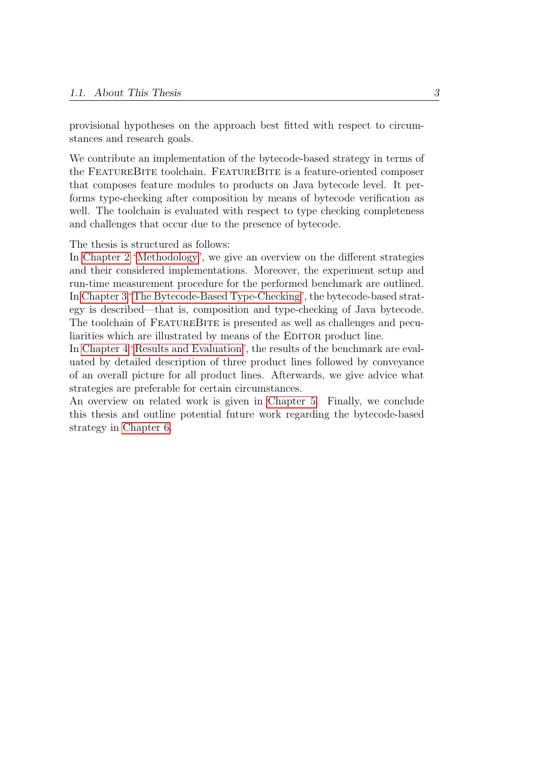provisional hypotheses on the approach best fitted with respect to circumstances and research goals.

We contribute an implementation of the bytecode-based strategy in terms of the FEATUREBITE toolchain. FEATUREBITE is a feature-oriented composer that composes feature modules to products on Java bytecode level. It performs type-checking after composition by means of bytecode verification as well. The toolchain is evaluated with respect to type checking completeness and challenges that occur due to the presence of bytecode.

The thesis is structured as follows:

In [Chapter 2](#page-10-0) ["Methodology"](#page-10-0), we give an overview on the different strategies and their considered implementations. Moreover, the experiment setup and run-time measurement procedure for the performed benchmark are outlined. In [Chapter 3"The Bytecode-Based Type-Checking"](#page-18-0), the bytecode-based strategy is described—that is, composition and type-checking of Java bytecode. The toolchain of FeatureBite is presented as well as challenges and peculiarities which are illustrated by means of the EDITOR product line.

In [Chapter 4](#page-30-0) ["Results and Evaluation"](#page-30-0), the results of the benchmark are evaluated by detailed description of three product lines followed by conveyance of an overall picture for all product lines. Afterwards, we give advice what strategies are preferable for certain circumstances.

An overview on related work is given in [Chapter 5.](#page-42-0) Finally, we conclude this thesis and outline potential future work regarding the bytecode-based strategy in [Chapter 6.](#page-46-0)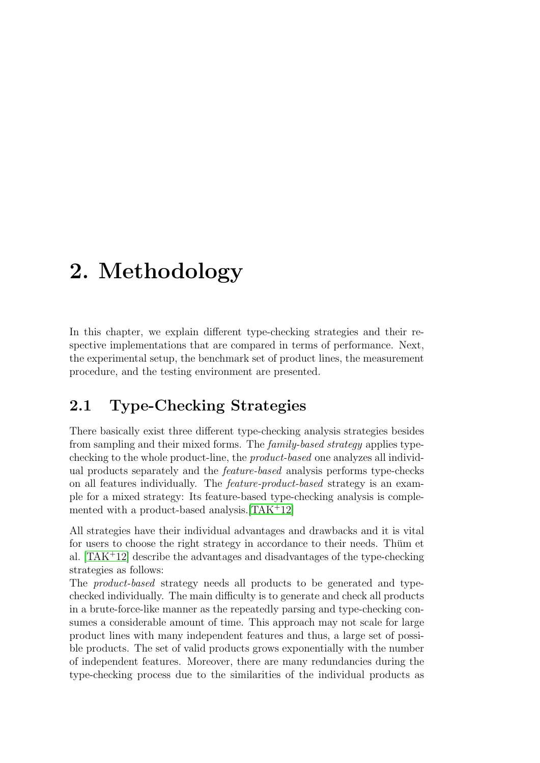# <span id="page-10-0"></span>2. Methodology

In this chapter, we explain different type-checking strategies and their respective implementations that are compared in terms of performance. Next, the experimental setup, the benchmark set of product lines, the measurement procedure, and the testing environment are presented.

# <span id="page-10-1"></span>2.1 Type-Checking Strategies

There basically exist three different type-checking analysis strategies besides from sampling and their mixed forms. The family-based strategy applies typechecking to the whole product-line, the product-based one analyzes all individual products separately and the feature-based analysis performs type-checks on all features individually. The feature-product-based strategy is an example for a mixed strategy: Its feature-based type-checking analysis is complemented with a product-based analysis.[\[TAK](#page-69-1)<sup>+</sup>12]

All strategies have their individual advantages and drawbacks and it is vital for users to choose the right strategy in accordance to their needs. Thum et al.  $[TAK<sup>+</sup>12]$  $[TAK<sup>+</sup>12]$  describe the advantages and disadvantages of the type-checking strategies as follows:

The product-based strategy needs all products to be generated and typechecked individually. The main difficulty is to generate and check all products in a brute-force-like manner as the repeatedly parsing and type-checking consumes a considerable amount of time. This approach may not scale for large product lines with many independent features and thus, a large set of possible products. The set of valid products grows exponentially with the number of independent features. Moreover, there are many redundancies during the type-checking process due to the similarities of the individual products as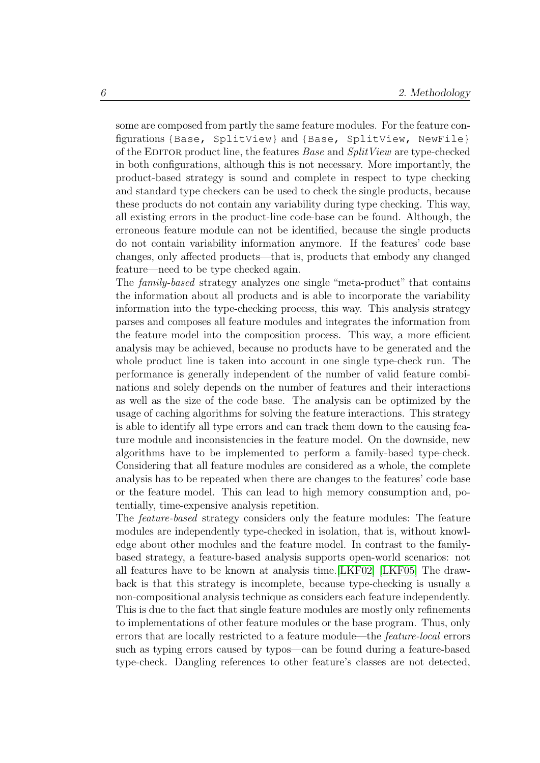some are composed from partly the same feature modules. For the feature configurations {Base, SplitView} and {Base, SplitView, NewFile} of the EDITOR product line, the features *Base* and *SplitView* are type-checked in both configurations, although this is not necessary. More importantly, the product-based strategy is sound and complete in respect to type checking and standard type checkers can be used to check the single products, because these products do not contain any variability during type checking. This way, all existing errors in the product-line code-base can be found. Although, the erroneous feature module can not be identified, because the single products do not contain variability information anymore. If the features' code base changes, only affected products—that is, products that embody any changed feature—need to be type checked again.

The family-based strategy analyzes one single "meta-product" that contains the information about all products and is able to incorporate the variability information into the type-checking process, this way. This analysis strategy parses and composes all feature modules and integrates the information from the feature model into the composition process. This way, a more efficient analysis may be achieved, because no products have to be generated and the whole product line is taken into account in one single type-check run. The performance is generally independent of the number of valid feature combinations and solely depends on the number of features and their interactions as well as the size of the code base. The analysis can be optimized by the usage of caching algorithms for solving the feature interactions. This strategy is able to identify all type errors and can track them down to the causing feature module and inconsistencies in the feature model. On the downside, new algorithms have to be implemented to perform a family-based type-check. Considering that all feature modules are considered as a whole, the complete analysis has to be repeated when there are changes to the features' code base or the feature model. This can lead to high memory consumption and, potentially, time-expensive analysis repetition.

The feature-based strategy considers only the feature modules: The feature modules are independently type-checked in isolation, that is, without knowledge about other modules and the feature model. In contrast to the familybased strategy, a feature-based analysis supports open-world scenarios: not all features have to be known at analysis time.[\[LKF02\]](#page-68-1) [\[LKF05\]](#page-68-0) The drawback is that this strategy is incomplete, because type-checking is usually a non-compositional analysis technique as considers each feature independently. This is due to the fact that single feature modules are mostly only refinements to implementations of other feature modules or the base program. Thus, only errors that are locally restricted to a feature module—the feature-local errors such as typing errors caused by typos—can be found during a feature-based type-check. Dangling references to other feature's classes are not detected,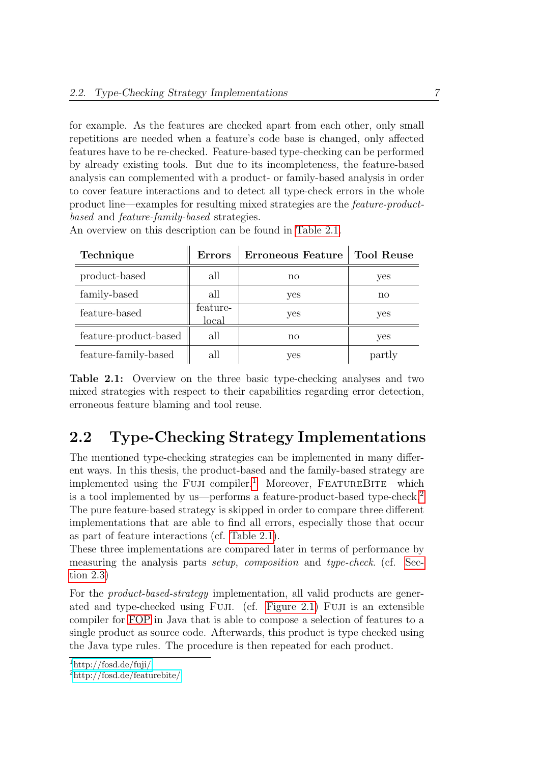for example. As the features are checked apart from each other, only small repetitions are needed when a feature's code base is changed, only affected features have to be re-checked. Feature-based type-checking can be performed by already existing tools. But due to its incompleteness, the feature-based analysis can complemented with a product- or family-based analysis in order to cover feature interactions and to detect all type-check errors in the whole product line—examples for resulting mixed strategies are the feature-productbased and feature-family-based strategies.

<span id="page-12-1"></span>

| Technique             | <b>Errors</b>     | Erroneous Feature | <b>Tool Reuse</b> |
|-----------------------|-------------------|-------------------|-------------------|
| product-based         | all               | no                | yes               |
| family-based          | all               | yes               | no                |
| feature-based         | feature-<br>local | yes               | yes               |
| feature-product-based | all               | no                | yes               |
| feature-family-based  | all               | yes               | partly            |

An overview on this description can be found in [Table 2.1.](#page-12-1)

Table 2.1: Overview on the three basic type-checking analyses and two mixed strategies with respect to their capabilities regarding error detection, erroneous feature blaming and tool reuse.

### <span id="page-12-0"></span>2.2 Type-Checking Strategy Implementations

The mentioned type-checking strategies can be implemented in many different ways. In this thesis, the product-based and the family-based strategy are implemented using the FUJI compiler.<sup>[1](#page-12-2)</sup> Moreover, FEATUREBITE—which is a tool implemented by us—performs a feature-product-based type-check.[2](#page-12-3) The pure feature-based strategy is skipped in order to compare three different implementations that are able to find all errors, especially those that occur as part of feature interactions (cf. [Table 2.1\)](#page-12-1).

These three implementations are compared later in terms of performance by measuring the analysis parts *setup, composition* and *type-check*. (cf. [Sec](#page-15-0)[tion 2.3\)](#page-15-0)

For the product-based-strategy implementation, all valid products are generated and type-checked using Fuji. (cf. [Figure 2.1\)](#page-13-0) Fuji is an extensible compiler for [FOP](#page-48-2) in Java that is able to compose a selection of features to a single product as source code. Afterwards, this product is type checked using the Java type rules. The procedure is then repeated for each product.

<span id="page-12-2"></span><sup>1</sup><http://fosd.de/fuji/>

<span id="page-12-3"></span><sup>2</sup><http://fosd.de/featurebite/>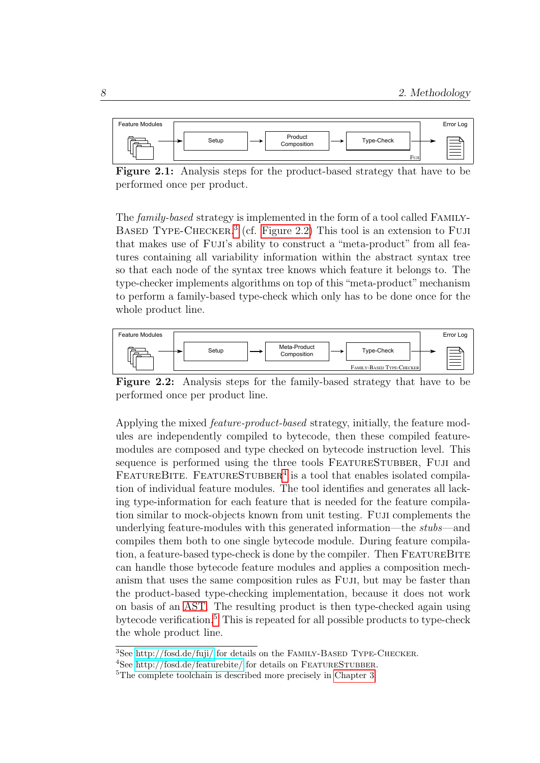<span id="page-13-0"></span>

Figure 2.1: Analysis steps for the product-based strategy that have to be performed once per product.

The family-based strategy is implemented in the form of a tool called Family-BASED TYPE-CHECKER.<sup>[3](#page-13-1)</sup> (cf. [Figure 2.2\)](#page-13-2) This tool is an extension to FUJI that makes use of Fuji's ability to construct a "meta-product" from all features containing all variability information within the abstract syntax tree so that each node of the syntax tree knows which feature it belongs to. The type-checker implements algorithms on top of this "meta-product"mechanism to perform a family-based type-check which only has to be done once for the whole product line.

<span id="page-13-2"></span>

Figure 2.2: Analysis steps for the family-based strategy that have to be performed once per product line.

Applying the mixed feature-product-based strategy, initially, the feature modules are independently compiled to bytecode, then these compiled featuremodules are composed and type checked on bytecode instruction level. This sequence is performed using the three tools FEATURESTUBBER, FUJI and FEATUREBITE. FEATURESTUBBER<sup>[4](#page-13-3)</sup> is a tool that enables isolated compilation of individual feature modules. The tool identifies and generates all lacking type-information for each feature that is needed for the feature compilation similar to mock-objects known from unit testing. Fuji complements the underlying feature-modules with this generated information—the stubs—and compiles them both to one single bytecode module. During feature compilation, a feature-based type-check is done by the compiler. Then FEATUREBITE can handle those bytecode feature modules and applies a composition mechanism that uses the same composition rules as Fuji, but may be faster than the product-based type-checking implementation, because it does not work on basis of an [AST.](#page-48-3) The resulting product is then type-checked again using bytecode verification.[5](#page-13-4) This is repeated for all possible products to type-check the whole product line.

<span id="page-13-1"></span> $3$ See<http://fosd.de/fuji/> for details on the FAMILY-BASED TYPE-CHECKER.

<span id="page-13-3"></span><sup>&</sup>lt;sup>4</sup>See<http://fosd.de/featurebite/> for details on FEATURESTUBBER.

<span id="page-13-4"></span><sup>5</sup>The complete toolchain is described more precisely in [Chapter 3.](#page-18-0)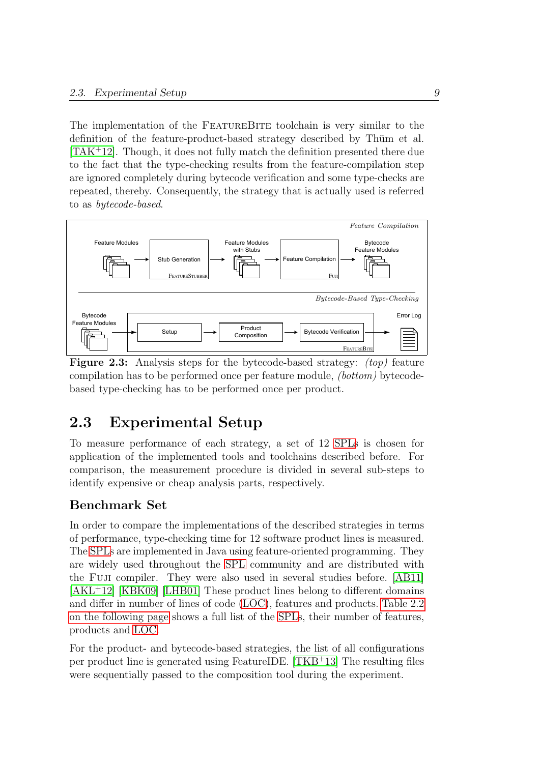The implementation of the FeatureBite toolchain is very similar to the definition of the feature-product-based strategy described by Thum et al. [\[TAK](#page-69-1)<sup>+</sup>12]. Though, it does not fully match the definition presented there due to the fact that the type-checking results from the feature-compilation step are ignored completely during bytecode verification and some type-checks are repeated, thereby. Consequently, the strategy that is actually used is referred to as bytecode-based.

<span id="page-14-1"></span>

**Figure 2.3:** Analysis steps for the bytecode-based strategy:  $(top)$  feature compilation has to be performed once per feature module, (bottom) bytecodebased type-checking has to be performed once per product.

# <span id="page-14-0"></span>2.3 Experimental Setup

To measure performance of each strategy, a set of 12 [SPLs](#page-48-1) is chosen for application of the implemented tools and toolchains described before. For comparison, the measurement procedure is divided in several sub-steps to identify expensive or cheap analysis parts, respectively.

#### Benchmark Set

In order to compare the implementations of the described strategies in terms of performance, type-checking time for 12 software product lines is measured. The [SPLs](#page-48-1) are implemented in Java using feature-oriented programming. They are widely used throughout the [SPL](#page-48-1) community and are distributed with the Fuji compiler. They were also used in several studies before. [\[AB11\]](#page-66-2) [\[AKL](#page-66-3)<sup>+</sup>12] [\[KBK09\]](#page-68-2) [\[LHB01\]](#page-68-3) These product lines belong to different domains and differ in number of lines of code [\(LOC\)](#page-48-4), features and products. [Table 2.2](#page-15-1) [on the following page](#page-15-1) shows a full list of the [SPLs](#page-48-1), their number of features, products and [LOC.](#page-48-4)

For the product- and bytecode-based strategies, the list of all configurations per product line is generated using FeatureIDE. [\[TKB](#page-69-3)<sup>+</sup>13] The resulting files were sequentially passed to the composition tool during the experiment.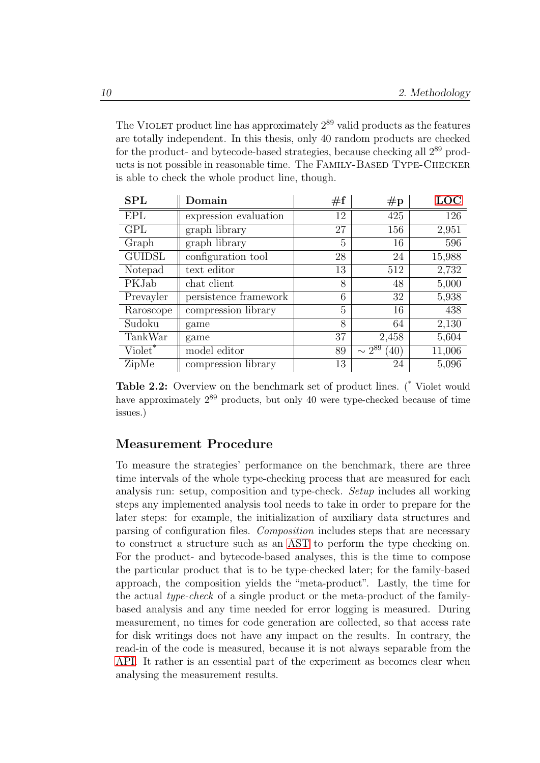The VIOLET product line has approximately  $2^{89}$  valid products as the features are totally independent. In this thesis, only 40 random products are checked for the product- and bytecode-based strategies, because checking all 2<sup>89</sup> products is not possible in reasonable time. The FAMILY-BASED TYPE-CHECKER is able to check the whole product line, though.

<span id="page-15-1"></span>

| <b>SPL</b>          | Domain                | #f | $\#p$                 | LOC    |
|---------------------|-----------------------|----|-----------------------|--------|
| <b>EPL</b>          | expression evaluation | 12 | 425                   | 126    |
| <b>GPL</b>          | graph library         | 27 | 156                   | 2,951  |
| Graph               | graph library         | 5  | 16                    | 596    |
| <b>GUIDSL</b>       | configuration tool    | 28 | 24                    | 15,988 |
| Notepad             | text editor           | 13 | 512                   | 2,732  |
| PKJab               | chat client           | 8  | 48                    | 5,000  |
| Prevayler           | persistence framework | 6  | 32                    | 5,938  |
| Raroscope           | compression library   | 5  | 16                    | 438    |
| Sudoku              | game                  | 8  | 64                    | 2,130  |
| TankWar             | game                  | 37 | 2,458                 | 5,604  |
| Violet <sup>*</sup> | model editor          | 89 | $\sim 2^{89}$<br>(40) | 11,006 |
| ZipMe               | compression library   | 13 | 24                    | 5,096  |

Table 2.2: Overview on the benchmark set of product lines. (\* Violet would have approximately  $2^{89}$  products, but only 40 were type-checked because of time issues.)

#### <span id="page-15-0"></span>Measurement Procedure

To measure the strategies' performance on the benchmark, there are three time intervals of the whole type-checking process that are measured for each analysis run: setup, composition and type-check. Setup includes all working steps any implemented analysis tool needs to take in order to prepare for the later steps: for example, the initialization of auxiliary data structures and parsing of configuration files. Composition includes steps that are necessary to construct a structure such as an [AST](#page-48-3) to perform the type checking on. For the product- and bytecode-based analyses, this is the time to compose the particular product that is to be type-checked later; for the family-based approach, the composition yields the "meta-product". Lastly, the time for the actual type-check of a single product or the meta-product of the familybased analysis and any time needed for error logging is measured. During measurement, no times for code generation are collected, so that access rate for disk writings does not have any impact on the results. In contrary, the read-in of the code is measured, because it is not always separable from the [API.](#page-48-5) It rather is an essential part of the experiment as becomes clear when analysing the measurement results.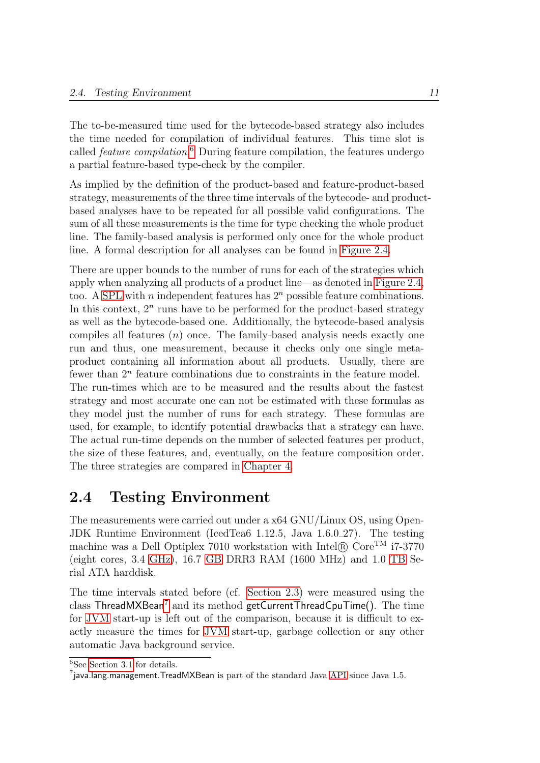The to-be-measured time used for the bytecode-based strategy also includes the time needed for compilation of individual features. This time slot is called feature compilation. [6](#page-16-1) During feature compilation, the features undergo a partial feature-based type-check by the compiler.

As implied by the definition of the product-based and feature-product-based strategy, measurements of the three time intervals of the bytecode- and productbased analyses have to be repeated for all possible valid configurations. The sum of all these measurements is the time for type checking the whole product line. The family-based analysis is performed only once for the whole product line. A formal description for all analyses can be found in [Figure 2.4.](#page-17-0)

There are upper bounds to the number of runs for each of the strategies which apply when analyzing all products of a product line—as denoted in [Figure 2.4,](#page-17-0) too. A [SPL](#page-48-1) with *n* independent features has  $2<sup>n</sup>$  possible feature combinations. In this context,  $2<sup>n</sup>$  runs have to be performed for the product-based strategy as well as the bytecode-based one. Additionally, the bytecode-based analysis compiles all features  $(n)$  once. The family-based analysis needs exactly one run and thus, one measurement, because it checks only one single metaproduct containing all information about all products. Usually, there are fewer than  $2<sup>n</sup>$  feature combinations due to constraints in the feature model.

The run-times which are to be measured and the results about the fastest strategy and most accurate one can not be estimated with these formulas as they model just the number of runs for each strategy. These formulas are used, for example, to identify potential drawbacks that a strategy can have. The actual run-time depends on the number of selected features per product, the size of these features, and, eventually, on the feature composition order. The three strategies are compared in [Chapter 4.](#page-30-0)

#### <span id="page-16-0"></span>2.4 Testing Environment

The measurements were carried out under a x64 GNU/Linux OS, using Open-JDK Runtime Environment (IcedTea6 1.12.5, Java 1.6.0\_27). The testing machine was a Dell Optiplex 7010 workstation with Intel $\mathbb{R}$  Core<sup>TM</sup> i7-3770 (eight cores, 3.4 [GHz\)](#page-48-6), 16.7 [GB](#page-48-7) DRR3 RAM (1600 MHz) and 1.0 [TB](#page-48-8) Serial ATA harddisk.

The time intervals stated before (cf. [Section 2.3\)](#page-15-0) were measured using the class  $ThreadMXBean<sup>7</sup>$  $ThreadMXBean<sup>7</sup>$  $ThreadMXBean<sup>7</sup>$  and its method  $getCurrentThreadCpuTime()$ . The time for [JVM](#page-48-9) start-up is left out of the comparison, because it is difficult to exactly measure the times for [JVM](#page-48-9) start-up, garbage collection or any other automatic Java background service.

<span id="page-16-1"></span> ${}^{6}$ See [Section 3.1](#page-19-0) for details.

<span id="page-16-2"></span><sup>&</sup>lt;sup>7</sup>java.lang.management.TreadMXBean is part of the standard Java [API](#page-48-5) since Java 1.5.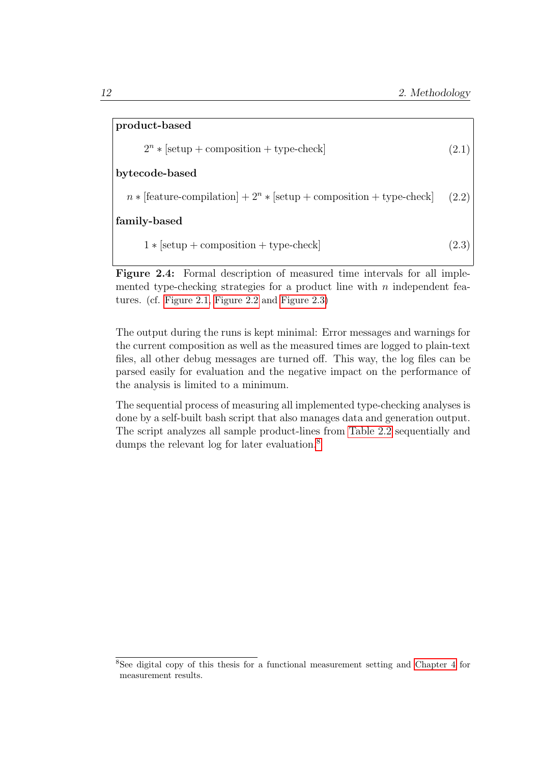<span id="page-17-0"></span>

| product-based                                                                     |       |  |  |  |
|-----------------------------------------------------------------------------------|-------|--|--|--|
| $2^n *  setup + composition + type-check $                                        | (2.1) |  |  |  |
| bytecode-based                                                                    |       |  |  |  |
| $n *$ [feature-compilation] + 2 <sup>n</sup> * [setup + composition + type-check] | (2.2) |  |  |  |
| family-based                                                                      |       |  |  |  |
| $1 * [setup + composition + type-check]$                                          | (2.3) |  |  |  |

Figure 2.4: Formal description of measured time intervals for all implemented type-checking strategies for a product line with  $n$  independent features. (cf. [Figure 2.1,](#page-13-0) [Figure 2.2](#page-13-2) and [Figure 2.3\)](#page-14-1)

The output during the runs is kept minimal: Error messages and warnings for the current composition as well as the measured times are logged to plain-text files, all other debug messages are turned off. This way, the log files can be parsed easily for evaluation and the negative impact on the performance of the analysis is limited to a minimum.

The sequential process of measuring all implemented type-checking analyses is done by a self-built bash script that also manages data and generation output. The script analyzes all sample product-lines from [Table 2.2](#page-15-1) sequentially and dumps the relevant log for later evaluation.<sup>[8](#page-17-1)</sup>

<span id="page-17-1"></span><sup>8</sup>See digital copy of this thesis for a functional measurement setting and [Chapter 4](#page-30-0) for measurement results.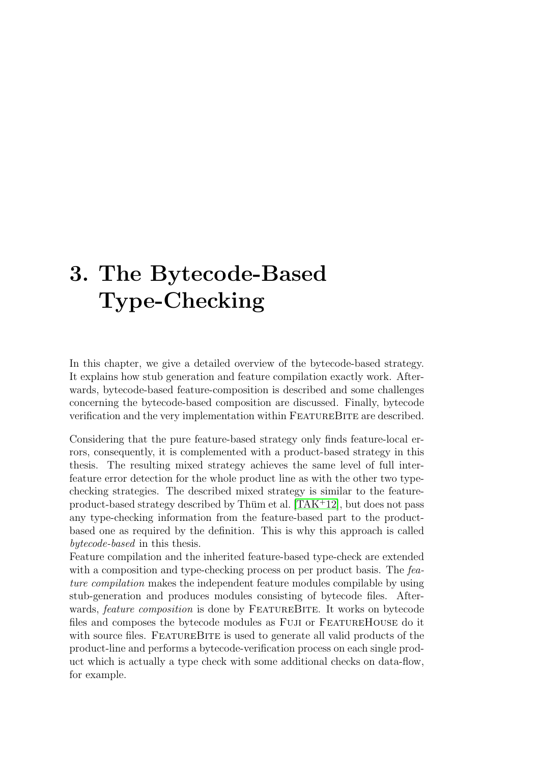# <span id="page-18-0"></span>3. The Bytecode-Based Type-Checking

In this chapter, we give a detailed overview of the bytecode-based strategy. It explains how stub generation and feature compilation exactly work. Afterwards, bytecode-based feature-composition is described and some challenges concerning the bytecode-based composition are discussed. Finally, bytecode verification and the very implementation within FEATUREBITE are described.

Considering that the pure feature-based strategy only finds feature-local errors, consequently, it is complemented with a product-based strategy in this thesis. The resulting mixed strategy achieves the same level of full interfeature error detection for the whole product line as with the other two typechecking strategies. The described mixed strategy is similar to the feature-product-based strategy described by Thüm et al. [\[TAK](#page-69-1)<sup>+12]</sup>, but does not pass any type-checking information from the feature-based part to the productbased one as required by the definition. This is why this approach is called bytecode-based in this thesis.

Feature compilation and the inherited feature-based type-check are extended with a composition and type-checking process on per product basis. The feature compilation makes the independent feature modules compilable by using stub-generation and produces modules consisting of bytecode files. Afterwards, *feature composition* is done by FEATUREBITE. It works on bytecode files and composes the bytecode modules as Fuji or FeatureHouse do it with source files. FEATUREBITE is used to generate all valid products of the product-line and performs a bytecode-verification process on each single product which is actually a type check with some additional checks on data-flow, for example.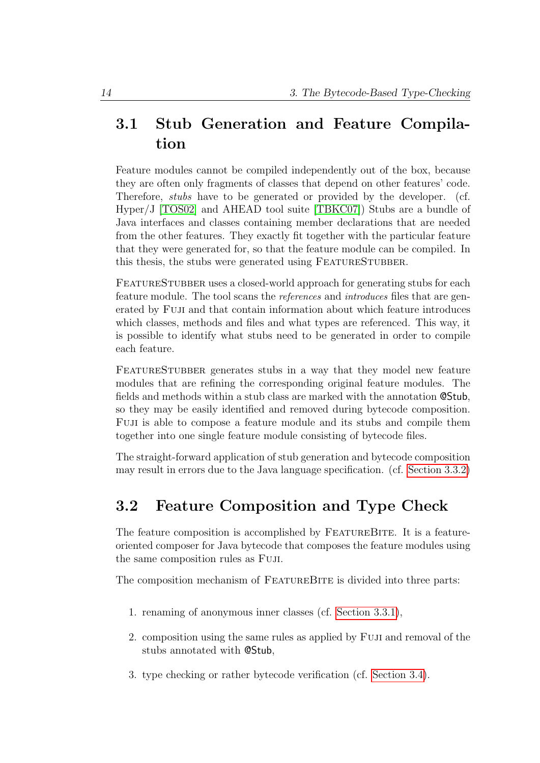# <span id="page-19-0"></span>3.1 Stub Generation and Feature Compilation

Feature modules cannot be compiled independently out of the box, because they are often only fragments of classes that depend on other features' code. Therefore, stubs have to be generated or provided by the developer. (cf. Hyper/J [\[TOS02\]](#page-69-4) and AHEAD tool suite [\[TBKC07\]](#page-69-0)) Stubs are a bundle of Java interfaces and classes containing member declarations that are needed from the other features. They exactly fit together with the particular feature that they were generated for, so that the feature module can be compiled. In this thesis, the stubs were generated using FEATURESTUBBER.

FEATURESTUBBER uses a closed-world approach for generating stubs for each feature module. The tool scans the references and introduces files that are generated by Fuji and that contain information about which feature introduces which classes, methods and files and what types are referenced. This way, it is possible to identify what stubs need to be generated in order to compile each feature.

FEATURESTUBBER generates stubs in a way that they model new feature modules that are refining the corresponding original feature modules. The fields and methods within a stub class are marked with the annotation @Stub, so they may be easily identified and removed during bytecode composition. Fuji is able to compose a feature module and its stubs and compile them together into one single feature module consisting of bytecode files.

The straight-forward application of stub generation and bytecode composition may result in errors due to the Java language specification. (cf. [Section 3.3.2\)](#page-21-0)

## <span id="page-19-1"></span>3.2 Feature Composition and Type Check

The feature composition is accomplished by FEATUREBITE. It is a featureoriented composer for Java bytecode that composes the feature modules using the same composition rules as Fuji.

The composition mechanism of FEATUREBITE is divided into three parts:

- 1. renaming of anonymous inner classes (cf. [Section 3.3.1\)](#page-20-1),
- 2. composition using the same rules as applied by Fuji and removal of the stubs annotated with @Stub,
- 3. type checking or rather bytecode verification (cf. [Section 3.4\)](#page-25-0).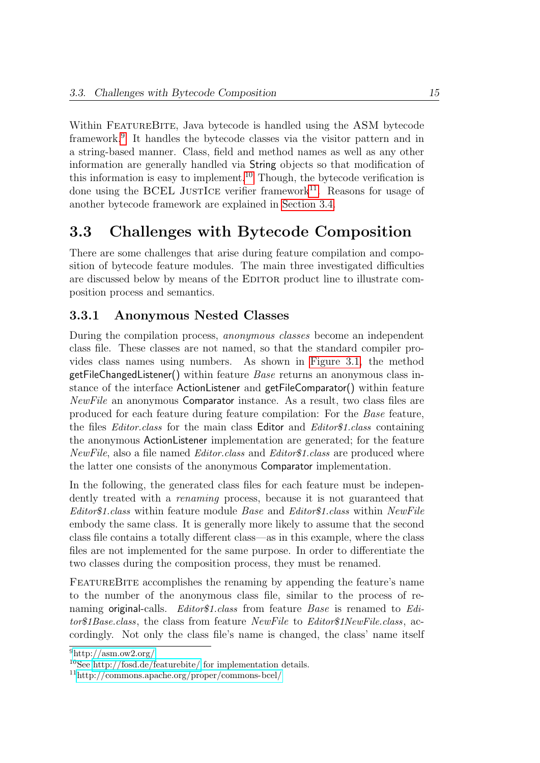Within FEATUREBITE, Java bytecode is handled using the ASM bytecode framework.[9](#page-20-2) It handles the bytecode classes via the visitor pattern and in a string-based manner. Class, field and method names as well as any other information are generally handled via String objects so that modification of this information is easy to implement.[10](#page-20-3) Though, the bytecode verification is done using the BCEL JUSTICE verifier framework<sup>[11](#page-20-4)</sup>. Reasons for usage of another bytecode framework are explained in [Section 3.4.](#page-25-0)

## <span id="page-20-0"></span>3.3 Challenges with Bytecode Composition

There are some challenges that arise during feature compilation and composition of bytecode feature modules. The main three investigated difficulties are discussed below by means of the EDITOR product line to illustrate composition process and semantics.

#### <span id="page-20-1"></span>3.3.1 Anonymous Nested Classes

During the compilation process, anonymous classes become an independent class file. These classes are not named, so that the standard compiler provides class names using numbers. As shown in [Figure 3.1,](#page-21-1) the method  $getFileChangeListener()$  within feature *Base* returns an anonymous class instance of the interface ActionListener and getFileComparator() within feature NewFile an anonymous Comparator instance. As a result, two class files are produced for each feature during feature compilation: For the Base feature, the files Editor.class for the main class Editor and Editor\$1.class containing the anonymous ActionListener implementation are generated; for the feature NewFile, also a file named Editor.class and Editor\$1.class are produced where the latter one consists of the anonymous Comparator implementation.

In the following, the generated class files for each feature must be independently treated with a *renaming* process, because it is not guaranteed that Editor\$1.class within feature module Base and Editor\$1.class within NewFile embody the same class. It is generally more likely to assume that the second class file contains a totally different class—as in this example, where the class files are not implemented for the same purpose. In order to differentiate the two classes during the composition process, they must be renamed.

FEATUREBITE accomplishes the renaming by appending the feature's name to the number of the anonymous class file, similar to the process of renaming original-calls. Editor\$1.class from feature Base is renamed to Editor\$1Base.class, the class from feature NewFile to Editor\$1NewFile.class, accordingly. Not only the class file's name is changed, the class' name itself

<span id="page-20-2"></span> $^{9}$ <http://asm.ow2.org/>

<span id="page-20-3"></span><sup>10</sup>See<http://fosd.de/featurebite/> for implementation details.

<span id="page-20-4"></span><sup>11</sup><http://commons.apache.org/proper/commons-bcel/>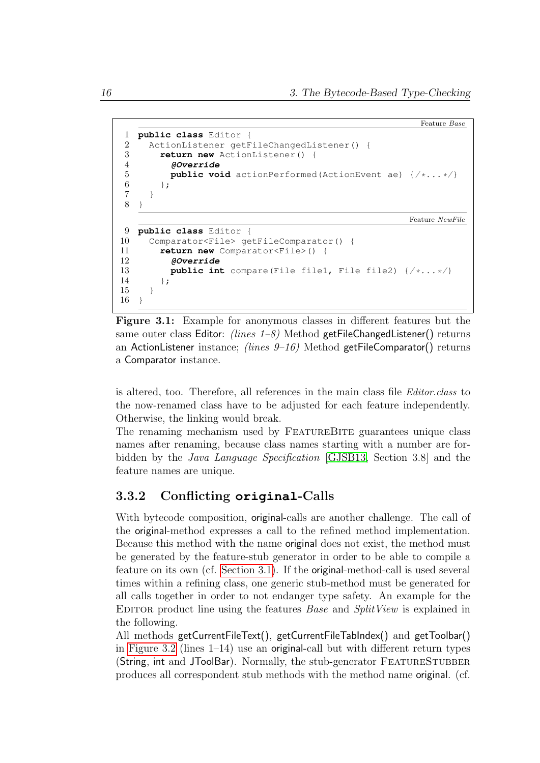```
Feature Base
1 public class Editor {
2 ActionListener getFileChangedListener() {
3 return new ActionListener() {
4 @Override
5 public void actionPerformed(ActionEvent ae) \{\neq \dots \neq \}\6 };
7 }
8 }
                                                      Feature NewFile
9 public class Editor {
10 Comparator<File> getFileComparator() {
11 return new Comparator<File>() {
12 @Override
13 public int compare(File file1, File file2) \{\neq \ldots \neq k\}\};
15 }
16 }
```
Figure 3.1: Example for anonymous classes in different features but the same outer class Editor: (lines  $1-\delta$ ) Method getFileChangedListener() returns an ActionListener instance; *(lines 9-16)* Method getFileComparator() returns a Comparator instance.

is altered, too. Therefore, all references in the main class file Editor.class to the now-renamed class have to be adjusted for each feature independently. Otherwise, the linking would break.

The renaming mechanism used by FEATUREBITE guarantees unique class names after renaming, because class names starting with a number are forbidden by the Java Language Specification [\[GJSB13,](#page-67-2) Section 3.8] and the feature names are unique.

#### <span id="page-21-0"></span>3.3.2 Conflicting **original**-Calls

With bytecode composition, original-calls are another challenge. The call of the original-method expresses a call to the refined method implementation. Because this method with the name original does not exist, the method must be generated by the feature-stub generator in order to be able to compile a feature on its own (cf. [Section 3.1\)](#page-19-0). If the original-method-call is used several times within a refining class, one generic stub-method must be generated for all calls together in order to not endanger type safety. An example for the EDITOR product line using the features *Base* and *SplitView* is explained in the following.

All methods getCurrentFileText(), getCurrentFileTabIndex() and getToolbar() in [Figure 3.2](#page-22-0) (lines 1–14) use an original-call but with different return types (String, int and JToolBar). Normally, the stub-generator FEATURESTUBBER produces all correspondent stub methods with the method name original. (cf.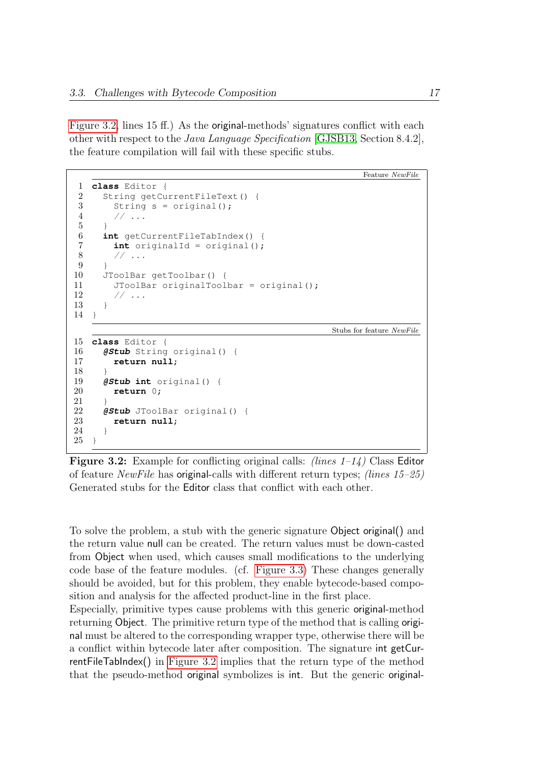[Figure 3.2,](#page-22-0) lines 15 ff.) As the original-methods' signatures conflict with each other with respect to the Java Language Specification [\[GJSB13,](#page-67-2) Section 8.4.2], the feature compilation will fail with these specific stubs.

```
Feature NewFile
1 class Editor {
2 String getCurrentFileText() {
3 String s = original():
4 // ...
56 int getCurrentFileTabIndex() {
7 int originalId = original();
       1/ ...
9 }
10 JToolBar getToolbar() {
11 JToolBar originalToolbar = original();
12 // ...
13 }
14 }
                                             Stubs for feature NewFile
15 class Editor {
16 @Stub String original() {
17 return null;
18 }
19 @Stub int original() {
20 return 0;
21 }
22 @Stub JToolBar original() {
23 return null;
24 }
25 }
```
**Figure 3.2:** Example for conflicting original calls: *(lines*  $1-1/4$ *)* Class Editor of feature *NewFile* has **original-calls** with different return types; *(lines 15–25)* Generated stubs for the Editor class that conflict with each other.

To solve the problem, a stub with the generic signature Object original() and the return value null can be created. The return values must be down-casted from Object when used, which causes small modifications to the underlying code base of the feature modules. (cf. [Figure 3.3\)](#page-23-1) These changes generally should be avoided, but for this problem, they enable bytecode-based composition and analysis for the affected product-line in the first place.

Especially, primitive types cause problems with this generic original-method returning Object. The primitive return type of the method that is calling original must be altered to the corresponding wrapper type, otherwise there will be a conflict within bytecode later after composition. The signature int getCurrentFileTabIndex() in [Figure 3.2](#page-22-0) implies that the return type of the method that the pseudo-method original symbolizes is int. But the generic original-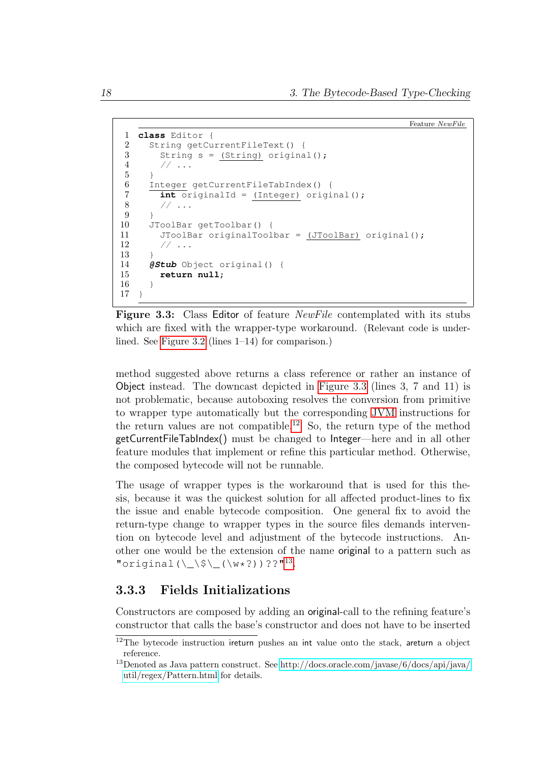```
Feature NewFile
1 class Editor {
2 String getCurrentFileText() {
3 String s = (String) original();
4 // ...
56 Integer getCurrentFileTabIndex() {<br>
\frac{7}{1} int originalId = (Integer) origin
       int originalId = (Integer) original();
8 / / ...9 }
10 JToolBar getToolbar() {
11 JToolBar originalToolbar = (JToolBar) original();
12 // ...
13 }
14 @Stub Object original() {
15 return null;
16 }
17 }
```
Figure 3.3: Class Editor of feature *NewFile* contemplated with its stubs which are fixed with the wrapper-type workaround. (Relevant code is underlined. See [Figure 3.2](#page-22-0) (lines 1–14) for comparison.)

method suggested above returns a class reference or rather an instance of Object instead. The downcast depicted in [Figure 3.3](#page-23-1) (lines 3, 7 and 11) is not problematic, because autoboxing resolves the conversion from primitive to wrapper type automatically but the corresponding [JVM](#page-48-9) instructions for the return values are not compatible.<sup>[12](#page-23-2)</sup> So, the return type of the method getCurrentFileTabIndex() must be changed to Integer—here and in all other feature modules that implement or refine this particular method. Otherwise, the composed bytecode will not be runnable.

The usage of wrapper types is the workaround that is used for this thesis, because it was the quickest solution for all affected product-lines to fix the issue and enable bytecode composition. One general fix to avoid the return-type change to wrapper types in the source files demands intervention on bytecode level and adjustment of the bytecode instructions. Another one would be the extension of the name original to a pattern such as "original( $\\Sigma$ \$\\_(\w\*?))??"<sup>[13](#page-23-3)</sup>.

#### <span id="page-23-0"></span>3.3.3 Fields Initializations

Constructors are composed by adding an original-call to the refining feature's constructor that calls the base's constructor and does not have to be inserted

<span id="page-23-2"></span> $12$ The bytecode instruction ireturn pushes an int value onto the stack, areturn a object reference.

<span id="page-23-3"></span><sup>&</sup>lt;sup>13</sup>Denoted as Java pattern construct. See [http://docs.oracle.com/javase/6/docs/api/java/](http://docs.oracle.com/javase/6/docs/api/java/util/regex/Pattern.html) [util/regex/Pattern.html](http://docs.oracle.com/javase/6/docs/api/java/util/regex/Pattern.html) for details.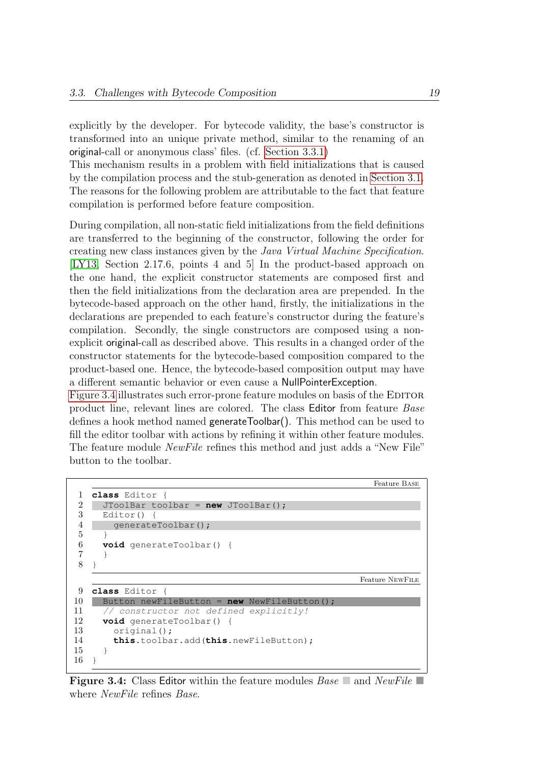explicitly by the developer. For bytecode validity, the base's constructor is transformed into an unique private method, similar to the renaming of an original-call or anonymous class' files. (cf. [Section 3.3.1\)](#page-20-1)

This mechanism results in a problem with field initializations that is caused by the compilation process and the stub-generation as denoted in [Section 3.1.](#page-19-0) The reasons for the following problem are attributable to the fact that feature compilation is performed before feature composition.

During compilation, all non-static field initializations from the field definitions are transferred to the beginning of the constructor, following the order for creating new class instances given by the Java Virtual Machine Specification. [\[LY13,](#page-69-5) Section 2.17.6, points 4 and 5] In the product-based approach on the one hand, the explicit constructor statements are composed first and then the field initializations from the declaration area are prepended. In the bytecode-based approach on the other hand, firstly, the initializations in the declarations are prepended to each feature's constructor during the feature's compilation. Secondly, the single constructors are composed using a nonexplicit original-call as described above. This results in a changed order of the constructor statements for the bytecode-based composition compared to the product-based one. Hence, the bytecode-based composition output may have a different semantic behavior or even cause a NullPointerException.

[Figure 3.4](#page-24-0) illustrates such error-prone feature modules on basis of the EDITOR product line, relevant lines are colored. The class Editor from feature Base defines a hook method named generateToolbar(). This method can be used to fill the editor toolbar with actions by refining it within other feature modules. The feature module NewFile refines this method and just adds a "New File" button to the toolbar.

```
Feature Base
1 class Editor {
2 JToolBar toolbar = new JToolBar();<br>3 Editor() {
     Editor() {
4 generateToolbar();
5 \quad \Box6 void generateToolbar() {
\overline{7}8 }
                                                         Feature NewFile
9 class Editor {
10 Button newFileButton = new NewFileButton();
11 // constructor not defined explicitly!
12 void generateToolbar() {
13 original();
14 this.toolbar.add(this.newFileButton);
15 }
16 \quad
```
**Figure 3.4:** Class Editor within the feature modules  $Base \rceil$  and  $NewFile \rceil$ where NewFile refines Base.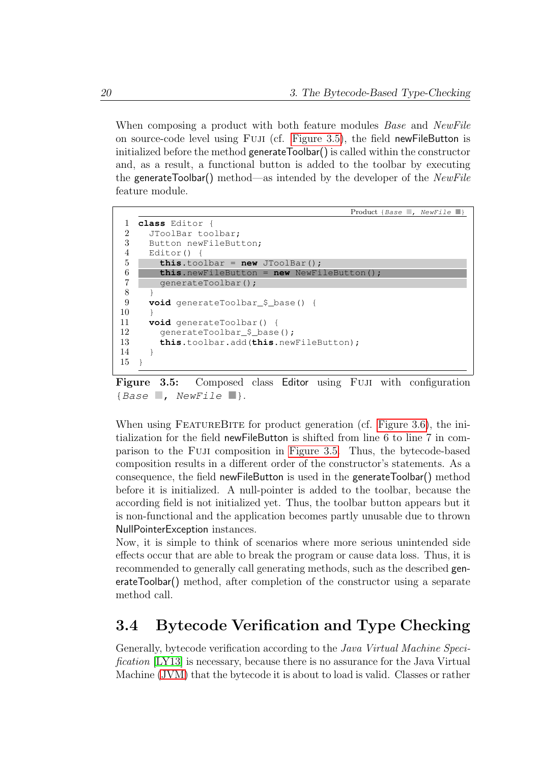When composing a product with both feature modules *Base* and *NewFile* on source-code level using Fuji (cf. [Figure 3.5\)](#page-25-1), the field newFileButton is initialized before the method generateToolbar() is called within the constructor and, as a result, a functional button is added to the toolbar by executing the generateToolbar() method—as intended by the developer of the NewFile feature module.

```
Product {Base , NewFile
1 class Editor {
2 JToolBar toolbar;
3 Button newFileButton;
4 Editor() {
5 this.toolbar = new JToolBar();
6 this.newFileButton = new NewFileButton();
7 generateToolbar();
8 }
9 void generateToolbar_$_base() {
10 }
11 void generateToolbar() {
12 generateToolbar_$_base();
13 this.toolbar.add(this.newFileButton);
14 \quad 115 \quad
```
Figure 3.5: Composed class Editor using Fuji with configuration {Base  $\Box$ , NewFile  $\Box$ }.

When using FEATUREBITE for product generation (cf. [Figure 3.6\)](#page-26-1), the initialization for the field newFileButton is shifted from line 6 to line 7 in comparison to the Fuji composition in [Figure 3.5.](#page-25-1) Thus, the bytecode-based composition results in a different order of the constructor's statements. As a consequence, the field newFileButton is used in the generateToolbar() method before it is initialized. A null-pointer is added to the toolbar, because the according field is not initialized yet. Thus, the toolbar button appears but it is non-functional and the application becomes partly unusable due to thrown NullPointerException instances.

Now, it is simple to think of scenarios where more serious unintended side effects occur that are able to break the program or cause data loss. Thus, it is recommended to generally call generating methods, such as the described generateToolbar() method, after completion of the constructor using a separate method call.

### <span id="page-25-0"></span>3.4 Bytecode Verification and Type Checking

Generally, bytecode verification according to the Java Virtual Machine Specification [\[LY13\]](#page-69-5) is necessary, because there is no assurance for the Java Virtual Machine [\(JVM\)](#page-48-9) that the bytecode it is about to load is valid. Classes or rather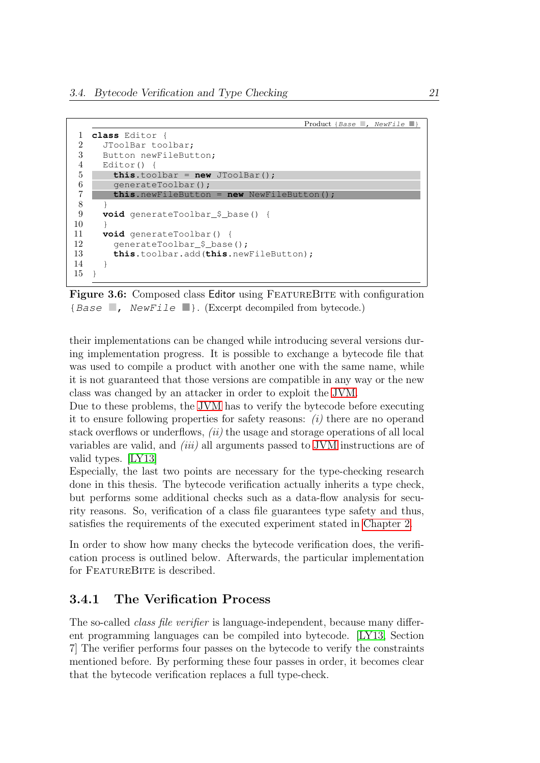```
Product {Base \Box, NewFile \Box}
1 class Editor {
2 JToolBar toolbar;
3 Button newFileButton;
 4 Editor() {
5 this.toolbar = new JToolBar();
6 generateToolbar();<br>7 this.newFileButton
         7 this.newFileButton = new NewFileButton();
\begin{array}{c} 8 \\ 9 \end{array} \begin{array}{c} \rightarrow \\ \textbf{v} \end{array}void generateToolbar $ base() {
10 }
11 void generateToolbar() {
12 generateToolbar $ base():
13 this.toolbar.add(this.newFileButton);
14 }
15 }
```
Figure 3.6: Composed class Editor using FEATUREBITE with configuration {Base  $\Box$ , NewFile  $\Box$ }. (Excerpt decompiled from bytecode.)

their implementations can be changed while introducing several versions during implementation progress. It is possible to exchange a bytecode file that was used to compile a product with another one with the same name, while it is not guaranteed that those versions are compatible in any way or the new class was changed by an attacker in order to exploit the [JVM.](#page-48-9)

Due to these problems, the [JVM](#page-48-9) has to verify the bytecode before executing it to ensure following properties for safety reasons: (i) there are no operand stack overflows or underflows, *(ii)* the usage and storage operations of all local variables are valid, and (iii) all arguments passed to [JVM](#page-48-9) instructions are of valid types. [\[LY13\]](#page-69-5)

Especially, the last two points are necessary for the type-checking research done in this thesis. The bytecode verification actually inherits a type check, but performs some additional checks such as a data-flow analysis for security reasons. So, verification of a class file guarantees type safety and thus, satisfies the requirements of the executed experiment stated in [Chapter 2.](#page-10-0)

In order to show how many checks the bytecode verification does, the verification process is outlined below. Afterwards, the particular implementation for FEATUREBITE is described.

#### <span id="page-26-0"></span>3.4.1 The Verification Process

The so-called *class file verifier* is language-independent, because many different programming languages can be compiled into bytecode. [\[LY13,](#page-69-5) Section 7] The verifier performs four passes on the bytecode to verify the constraints mentioned before. By performing these four passes in order, it becomes clear that the bytecode verification replaces a full type-check.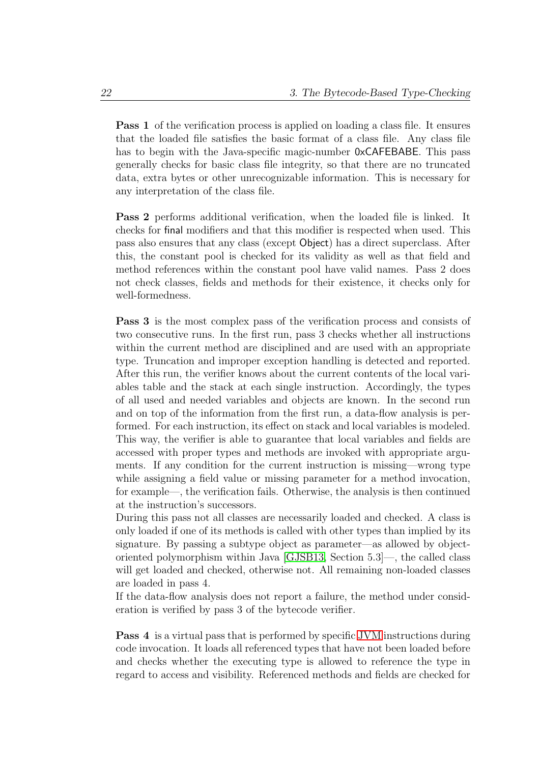Pass 1 of the verification process is applied on loading a class file. It ensures that the loaded file satisfies the basic format of a class file. Any class file has to begin with the Java-specific magic-number 0xCAFEBABE. This pass generally checks for basic class file integrity, so that there are no truncated data, extra bytes or other unrecognizable information. This is necessary for any interpretation of the class file.

Pass 2 performs additional verification, when the loaded file is linked. It checks for final modifiers and that this modifier is respected when used. This pass also ensures that any class (except Object) has a direct superclass. After this, the constant pool is checked for its validity as well as that field and method references within the constant pool have valid names. Pass 2 does not check classes, fields and methods for their existence, it checks only for well-formedness.

Pass 3 is the most complex pass of the verification process and consists of two consecutive runs. In the first run, pass 3 checks whether all instructions within the current method are disciplined and are used with an appropriate type. Truncation and improper exception handling is detected and reported. After this run, the verifier knows about the current contents of the local variables table and the stack at each single instruction. Accordingly, the types of all used and needed variables and objects are known. In the second run and on top of the information from the first run, a data-flow analysis is performed. For each instruction, its effect on stack and local variables is modeled. This way, the verifier is able to guarantee that local variables and fields are accessed with proper types and methods are invoked with appropriate arguments. If any condition for the current instruction is missing—wrong type while assigning a field value or missing parameter for a method invocation, for example—, the verification fails. Otherwise, the analysis is then continued at the instruction's successors.

During this pass not all classes are necessarily loaded and checked. A class is only loaded if one of its methods is called with other types than implied by its signature. By passing a subtype object as parameter—as allowed by objectoriented polymorphism within Java [\[GJSB13,](#page-67-2) Section 5.3]—, the called class will get loaded and checked, otherwise not. All remaining non-loaded classes are loaded in pass 4.

If the data-flow analysis does not report a failure, the method under consideration is verified by pass 3 of the bytecode verifier.

Pass 4 is a virtual pass that is performed by specific [JVM](#page-48-9) instructions during code invocation. It loads all referenced types that have not been loaded before and checks whether the executing type is allowed to reference the type in regard to access and visibility. Referenced methods and fields are checked for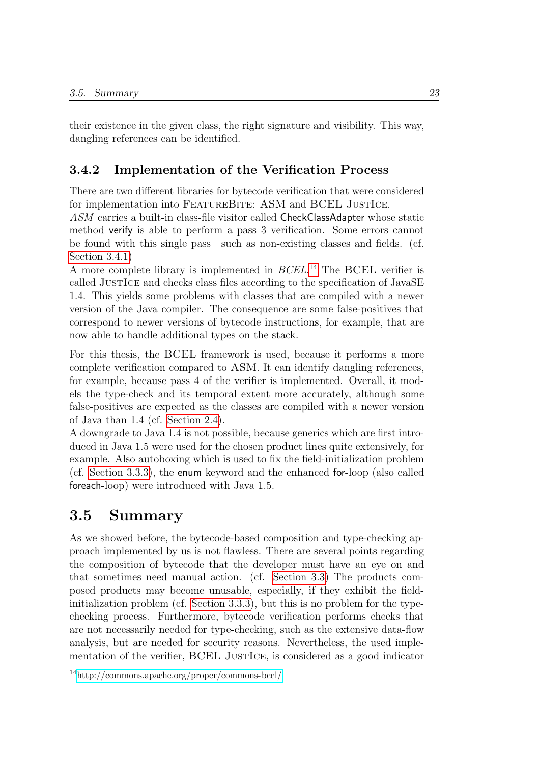their existence in the given class, the right signature and visibility. This way, dangling references can be identified.

#### <span id="page-28-0"></span>3.4.2 Implementation of the Verification Process

There are two different libraries for bytecode verification that were considered for implementation into FEATUREBITE: ASM and BCEL JUSTICE.

ASM carries a built-in class-file visitor called CheckClassAdapter whose static method verify is able to perform a pass 3 verification. Some errors cannot be found with this single pass—such as non-existing classes and fields. (cf. [Section 3.4.1\)](#page-26-0)

A more complete library is implemented in BCEL. [14](#page-28-2) The BCEL verifier is called JustIce and checks class files according to the specification of JavaSE 1.4. This yields some problems with classes that are compiled with a newer version of the Java compiler. The consequence are some false-positives that correspond to newer versions of bytecode instructions, for example, that are now able to handle additional types on the stack.

For this thesis, the BCEL framework is used, because it performs a more complete verification compared to ASM. It can identify dangling references, for example, because pass 4 of the verifier is implemented. Overall, it models the type-check and its temporal extent more accurately, although some false-positives are expected as the classes are compiled with a newer version of Java than 1.4 (cf. [Section 2.4\)](#page-16-0).

A downgrade to Java 1.4 is not possible, because generics which are first introduced in Java 1.5 were used for the chosen product lines quite extensively, for example. Also autoboxing which is used to fix the field-initialization problem (cf. [Section 3.3.3\)](#page-23-0), the enum keyword and the enhanced for-loop (also called foreach-loop) were introduced with Java 1.5.

# <span id="page-28-1"></span>3.5 Summary

As we showed before, the bytecode-based composition and type-checking approach implemented by us is not flawless. There are several points regarding the composition of bytecode that the developer must have an eye on and that sometimes need manual action. (cf. [Section 3.3\)](#page-20-0) The products composed products may become unusable, especially, if they exhibit the fieldinitialization problem (cf. [Section 3.3.3\)](#page-23-0), but this is no problem for the typechecking process. Furthermore, bytecode verification performs checks that are not necessarily needed for type-checking, such as the extensive data-flow analysis, but are needed for security reasons. Nevertheless, the used implementation of the verifier, BCEL JUSTICE, is considered as a good indicator

<span id="page-28-2"></span><sup>14</sup><http://commons.apache.org/proper/commons-bcel/>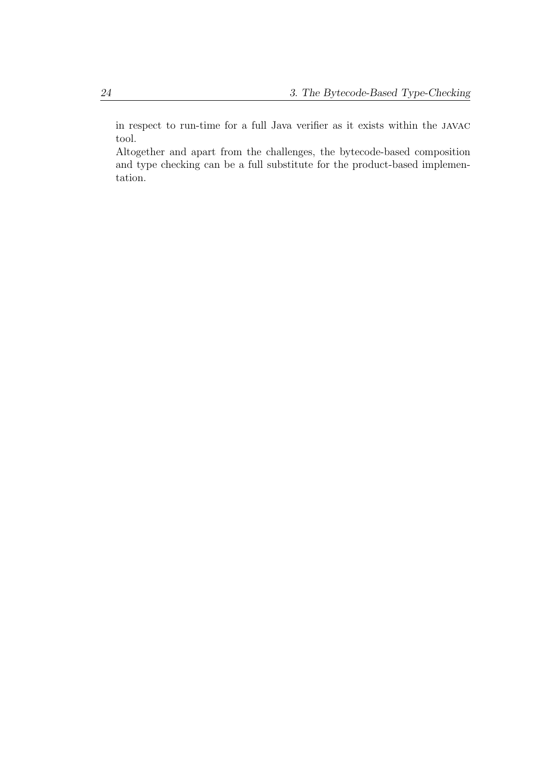in respect to run-time for a full Java verifier as it exists within the javac tool.

Altogether and apart from the challenges, the bytecode-based composition and type checking can be a full substitute for the product-based implementation.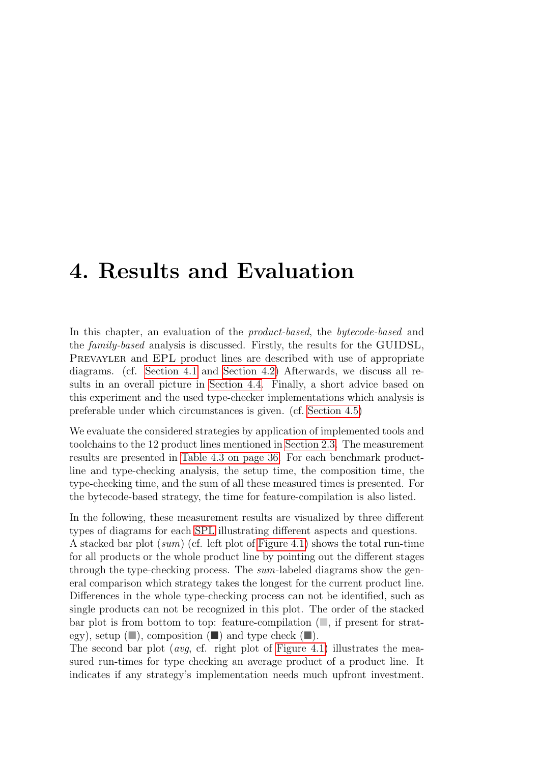# <span id="page-30-0"></span>4. Results and Evaluation

In this chapter, an evaluation of the *product-based*, the *bytecode-based* and the family-based analysis is discussed. Firstly, the results for the GUIDSL, PREVAYLER and EPL product lines are described with use of appropriate diagrams. (cf. [Section 4.1](#page-31-0) and [Section 4.2\)](#page-32-0) Afterwards, we discuss all results in an overall picture in [Section 4.4.](#page-34-1) Finally, a short advice based on this experiment and the used type-checker implementations which analysis is preferable under which circumstances is given. (cf. [Section 4.5\)](#page-38-0)

We evaluate the considered strategies by application of implemented tools and toolchains to the 12 product lines mentioned in [Section 2.3.](#page-14-0) The measurement results are presented in [Table 4.3 on page 36.](#page-41-0) For each benchmark productline and type-checking analysis, the setup time, the composition time, the type-checking time, and the sum of all these measured times is presented. For the bytecode-based strategy, the time for feature-compilation is also listed.

In the following, these measurement results are visualized by three different types of diagrams for each [SPL](#page-48-1) illustrating different aspects and questions. A stacked bar plot (sum) (cf. left plot of [Figure 4.1\)](#page-32-1) shows the total run-time for all products or the whole product line by pointing out the different stages through the type-checking process. The sum-labeled diagrams show the general comparison which strategy takes the longest for the current product line. Differences in the whole type-checking process can not be identified, such as single products can not be recognized in this plot. The order of the stacked bar plot is from bottom to top: feature-compilation  $\Box$ , if present for strategy), setup  $(\blacksquare)$ , composition  $(\blacksquare)$  and type check  $(\blacksquare)$ .

The second bar plot (*avg*, cf. right plot of [Figure 4.1\)](#page-32-1) illustrates the measured run-times for type checking an average product of a product line. It indicates if any strategy's implementation needs much upfront investment.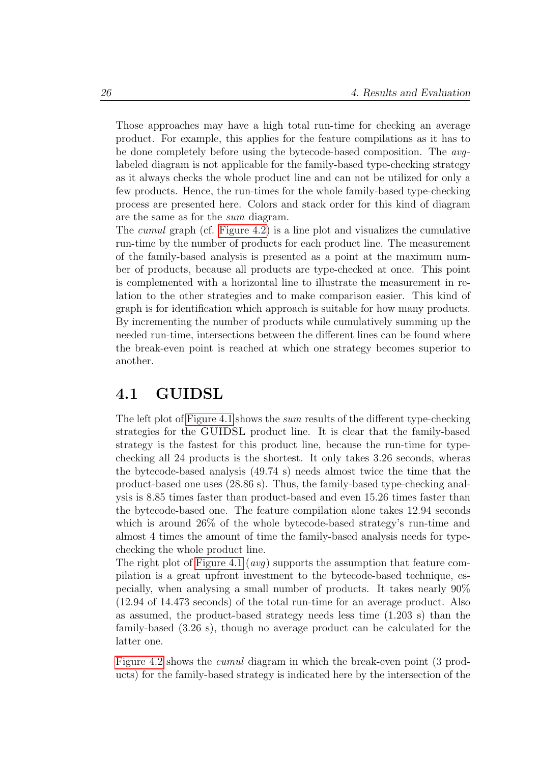Those approaches may have a high total run-time for checking an average product. For example, this applies for the feature compilations as it has to be done completely before using the bytecode-based composition. The avglabeled diagram is not applicable for the family-based type-checking strategy as it always checks the whole product line and can not be utilized for only a few products. Hence, the run-times for the whole family-based type-checking process are presented here. Colors and stack order for this kind of diagram are the same as for the sum diagram.

The cumul graph (cf. [Figure 4.2\)](#page-33-0) is a line plot and visualizes the cumulative run-time by the number of products for each product line. The measurement of the family-based analysis is presented as a point at the maximum number of products, because all products are type-checked at once. This point is complemented with a horizontal line to illustrate the measurement in relation to the other strategies and to make comparison easier. This kind of graph is for identification which approach is suitable for how many products. By incrementing the number of products while cumulatively summing up the needed run-time, intersections between the different lines can be found where the break-even point is reached at which one strategy becomes superior to another.

### <span id="page-31-0"></span>4.1 GUIDSL

The left plot of [Figure 4.1](#page-32-1) shows the sum results of the different type-checking strategies for the GUIDSL product line. It is clear that the family-based strategy is the fastest for this product line, because the run-time for typechecking all 24 products is the shortest. It only takes 3.26 seconds, wheras the bytecode-based analysis (49.74 s) needs almost twice the time that the product-based one uses (28.86 s). Thus, the family-based type-checking analysis is 8.85 times faster than product-based and even 15.26 times faster than the bytecode-based one. The feature compilation alone takes 12.94 seconds which is around 26% of the whole bytecode-based strategy's run-time and almost 4 times the amount of time the family-based analysis needs for typechecking the whole product line.

The right plot of [Figure 4.1](#page-32-1) (*avg*) supports the assumption that feature compilation is a great upfront investment to the bytecode-based technique, especially, when analysing a small number of products. It takes nearly 90% (12.94 of 14.473 seconds) of the total run-time for an average product. Also as assumed, the product-based strategy needs less time (1.203 s) than the family-based (3.26 s), though no average product can be calculated for the latter one.

[Figure 4.2](#page-33-0) shows the cumul diagram in which the break-even point (3 products) for the family-based strategy is indicated here by the intersection of the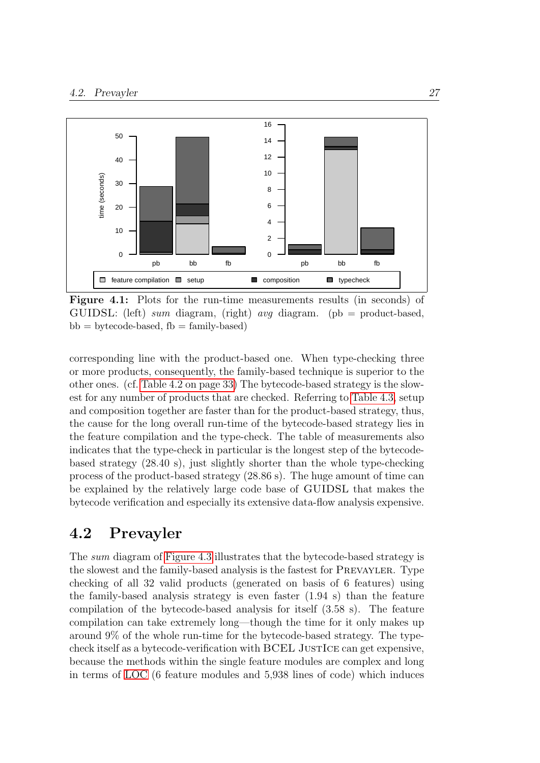<span id="page-32-1"></span>

Figure 4.1: Plots for the run-time measurements results (in seconds) of GUIDSL: (left) sum diagram, (right) avg diagram. (pb = product-based,  $bb =$  bytecode-based,  $fb =$  family-based)

corresponding line with the product-based one. When type-checking three or more products, consequently, the family-based technique is superior to the other ones. (cf. [Table 4.2 on page 33\)](#page-38-1) The bytecode-based strategy is the slowest for any number of products that are checked. Referring to [Table 4.3,](#page-41-0) setup and composition together are faster than for the product-based strategy, thus, the cause for the long overall run-time of the bytecode-based strategy lies in the feature compilation and the type-check. The table of measurements also indicates that the type-check in particular is the longest step of the bytecodebased strategy (28.40 s), just slightly shorter than the whole type-checking process of the product-based strategy (28.86 s). The huge amount of time can be explained by the relatively large code base of GUIDSL that makes the bytecode verification and especially its extensive data-flow analysis expensive.

### <span id="page-32-0"></span>4.2 Prevayler

The sum diagram of [Figure 4.3](#page-33-1) illustrates that the bytecode-based strategy is the slowest and the family-based analysis is the fastest for Prevayler. Type checking of all 32 valid products (generated on basis of 6 features) using the family-based analysis strategy is even faster (1.94 s) than the feature compilation of the bytecode-based analysis for itself (3.58 s). The feature compilation can take extremely long—though the time for it only makes up around 9% of the whole run-time for the bytecode-based strategy. The typecheck itself as a bytecode-verification with BCEL JUSTICE can get expensive, because the methods within the single feature modules are complex and long in terms of [LOC](#page-48-4) (6 feature modules and 5,938 lines of code) which induces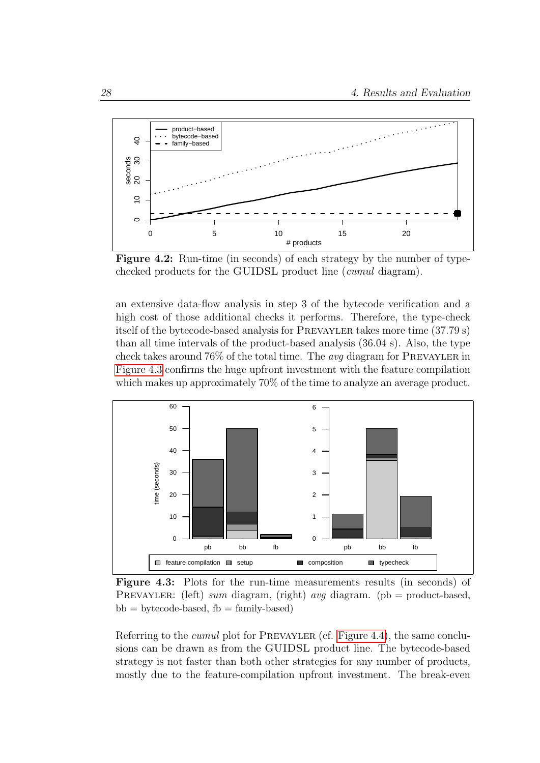<span id="page-33-0"></span>

Figure 4.2: Run-time (in seconds) of each strategy by the number of typechecked products for the GUIDSL product line (cumul diagram).

an extensive data-flow analysis in step 3 of the bytecode verification and a high cost of those additional checks it performs. Therefore, the type-check itself of the bytecode-based analysis for PREVAYLER takes more time (37.79 s) than all time intervals of the product-based analysis (36.04 s). Also, the type check takes around  $76\%$  of the total time. The *avg* diagram for PREVAYLER in [Figure 4.3](#page-33-1) confirms the huge upfront investment with the feature compilation which makes up approximately 70% of the time to analyze an average product.

<span id="page-33-1"></span>

Figure 4.3: Plots for the run-time measurements results (in seconds) of PREVAYLER: (left) sum diagram, (right) avg diagram. (pb = product-based,  $bb = bytecode-based, fb = family-based)$ 

Referring to the *cumul* plot for PREVAYLER (cf. [Figure 4.4\)](#page-34-2), the same conclusions can be drawn as from the GUIDSL product line. The bytecode-based strategy is not faster than both other strategies for any number of products, mostly due to the feature-compilation upfront investment. The break-even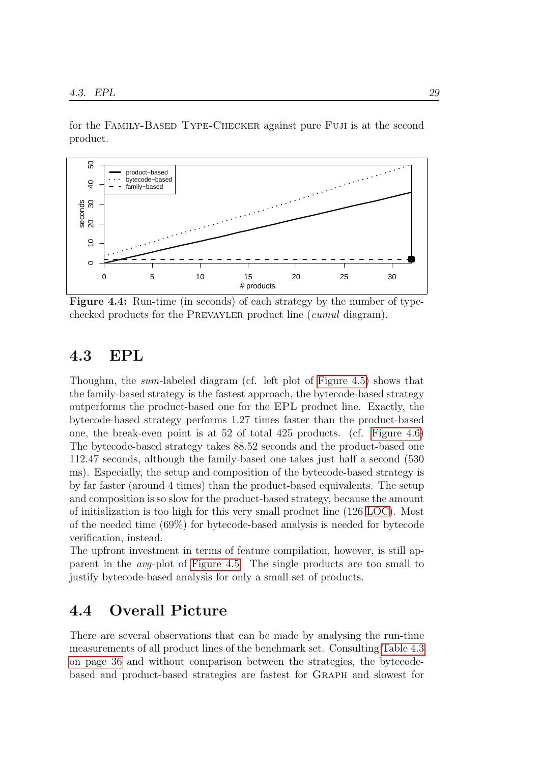for the Family-Based Type-Checker against pure Fuji is at the second product.

<span id="page-34-2"></span>

Figure 4.4: Run-time (in seconds) of each strategy by the number of typechecked products for the PREVAYLER product line (*cumul* diagram).

#### <span id="page-34-0"></span>4.3 EPL

Thoughm, the sum-labeled diagram (cf. left plot of [Figure 4.5\)](#page-35-0) shows that the family-based strategy is the fastest approach, the bytecode-based strategy outperforms the product-based one for the EPL product line. Exactly, the bytecode-based strategy performs 1.27 times faster than the product-based one, the break-even point is at 52 of total 425 products. (cf. [Figure 4.6\)](#page-35-1) The bytecode-based strategy takes 88.52 seconds and the product-based one 112.47 seconds, although the family-based one takes just half a second (530 ms). Especially, the setup and composition of the bytecode-based strategy is by far faster (around 4 times) than the product-based equivalents. The setup and composition is so slow for the product-based strategy, because the amount of initialization is too high for this very small product line (126 [LOC\)](#page-48-4). Most of the needed time (69%) for bytecode-based analysis is needed for bytecode verification, instead.

The upfront investment in terms of feature compilation, however, is still apparent in the avg-plot of [Figure 4.5.](#page-35-0) The single products are too small to justify bytecode-based analysis for only a small set of products.

### <span id="page-34-1"></span>4.4 Overall Picture

There are several observations that can be made by analysing the run-time measurements of all product lines of the benchmark set. Consulting [Table 4.3](#page-41-0) [on page 36](#page-41-0) and without comparison between the strategies, the bytecodebased and product-based strategies are fastest for Graph and slowest for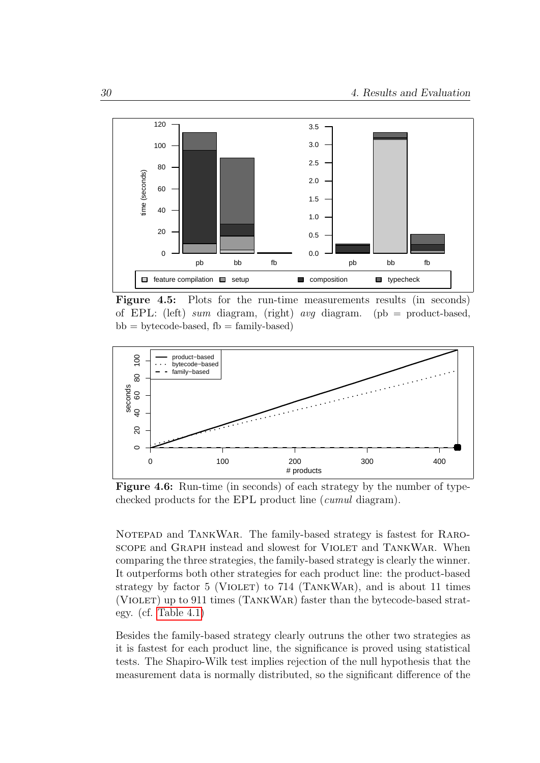<span id="page-35-0"></span>

Figure 4.5: Plots for the run-time measurements results (in seconds) of EPL: (left) sum diagram, (right) avg diagram. (pb = product-based,  $bb =$  bytecode-based,  $fb =$  family-based)

<span id="page-35-1"></span>

Figure 4.6: Run-time (in seconds) of each strategy by the number of typechecked products for the EPL product line (cumul diagram).

NOTEPAD and TANKWAR. The family-based strategy is fastest for RAROscope and Graph instead and slowest for Violet and TankWar. When comparing the three strategies, the family-based strategy is clearly the winner. It outperforms both other strategies for each product line: the product-based strategy by factor 5 (VIOLET) to  $714$  (TANKWAR), and is about 11 times (Violet) up to 911 times (TankWar) faster than the bytecode-based strategy. (cf. [Table 4.1\)](#page-36-0)

Besides the family-based strategy clearly outruns the other two strategies as it is fastest for each product line, the significance is proved using statistical tests. The Shapiro-Wilk test implies rejection of the null hypothesis that the measurement data is normally distributed, so the significant difference of the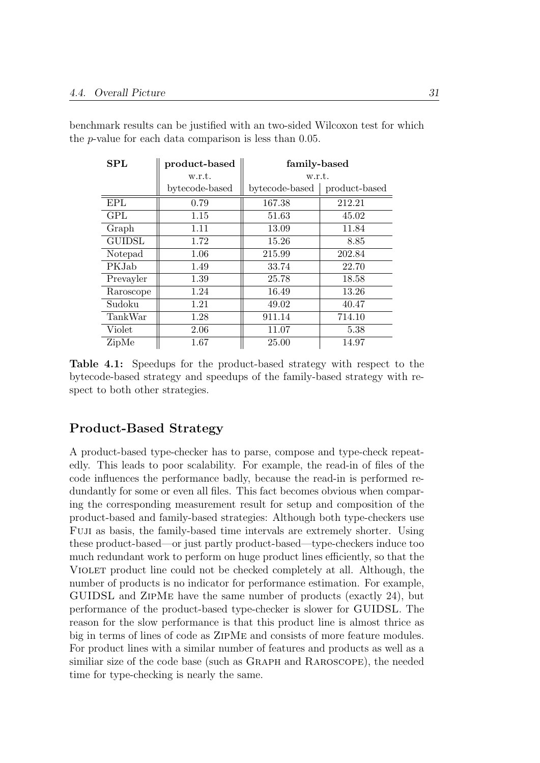| ${\bf SPL}$   | product-based  | family-based   |               |
|---------------|----------------|----------------|---------------|
|               | w.r.t.         | w.r.t.         |               |
|               | bytecode-based | bytecode-based | product-based |
| <b>EPL</b>    | 0.79           | 167.38         | 212.21        |
| GPL           | 1.15           | 51.63          | 45.02         |
| Graph         | 1.11           | 13.09          | 11.84         |
| <b>GUIDSL</b> | 1.72           | 15.26          | 8.85          |
| Notepad       | 1.06           | 215.99         | 202.84        |
| PKJab         | 1.49           | 33.74          | 22.70         |
| Prevayler     | 1.39           | 25.78          | 18.58         |
| Raroscope     | 1.24           | 16.49          | 13.26         |
| Sudoku        | 1.21           | 49.02          | 40.47         |
| TankWar       | 1.28           | 911.14         | 714.10        |
| Violet        | 2.06           | 11.07          | 5.38          |
| ZipMe         | 1.67           | 25.00          | 14.97         |

<span id="page-36-0"></span>benchmark results can be justified with an two-sided Wilcoxon test for which the p-value for each data comparison is less than 0.05.

Table 4.1: Speedups for the product-based strategy with respect to the bytecode-based strategy and speedups of the family-based strategy with respect to both other strategies.

## Product-Based Strategy

A product-based type-checker has to parse, compose and type-check repeatedly. This leads to poor scalability. For example, the read-in of files of the code influences the performance badly, because the read-in is performed redundantly for some or even all files. This fact becomes obvious when comparing the corresponding measurement result for setup and composition of the product-based and family-based strategies: Although both type-checkers use Fuji as basis, the family-based time intervals are extremely shorter. Using these product-based—or just partly product-based—type-checkers induce too much redundant work to perform on huge product lines efficiently, so that the Violet product line could not be checked completely at all. Although, the number of products is no indicator for performance estimation. For example, GUIDSL and ZipMe have the same number of products (exactly 24), but performance of the product-based type-checker is slower for GUIDSL. The reason for the slow performance is that this product line is almost thrice as big in terms of lines of code as ZipMe and consists of more feature modules. For product lines with a similar number of features and products as well as a similiar size of the code base (such as GRAPH and RAROSCOPE), the needed time for type-checking is nearly the same.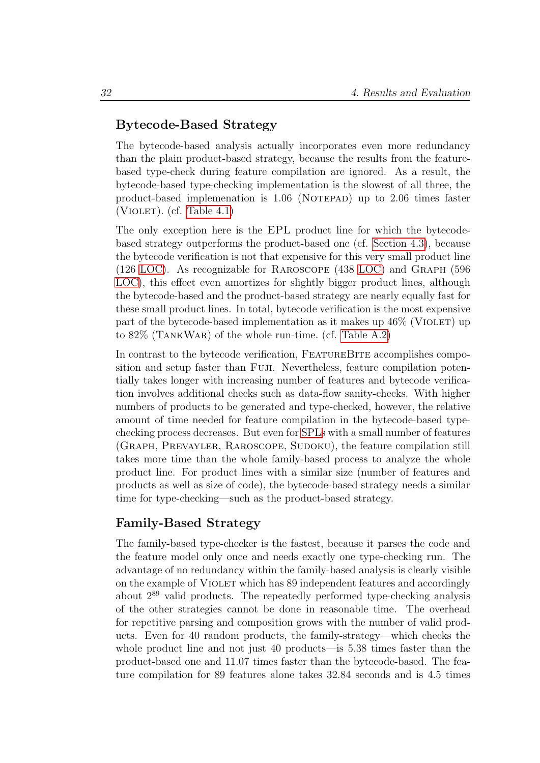#### Bytecode-Based Strategy

The bytecode-based analysis actually incorporates even more redundancy than the plain product-based strategy, because the results from the featurebased type-check during feature compilation are ignored. As a result, the bytecode-based type-checking implementation is the slowest of all three, the product-based implemenation is  $1.06$  (NOTEPAD) up to  $2.06$  times faster (VIOLET). (cf. Table  $4.1$ )

The only exception here is the EPL product line for which the bytecodebased strategy outperforms the product-based one (cf. [Section 4.3\)](#page-34-0), because the bytecode verification is not that expensive for this very small product line (126 [LOC\)](#page-48-0). As recognizable for Raroscope (438 [LOC\)](#page-48-0) and Graph (596 [LOC\)](#page-48-0), this effect even amortizes for slightly bigger product lines, although the bytecode-based and the product-based strategy are nearly equally fast for these small product lines. In total, bytecode verification is the most expensive part of the bytecode-based implementation as it makes up  $46\%$  (VIOLET) up to 82% (TankWar) of the whole run-time. (cf. [Table A.2\)](#page-56-0)

In contrast to the bytecode verification, FEATUREBITE accomplishes composition and setup faster than Fuji. Nevertheless, feature compilation potentially takes longer with increasing number of features and bytecode verification involves additional checks such as data-flow sanity-checks. With higher numbers of products to be generated and type-checked, however, the relative amount of time needed for feature compilation in the bytecode-based typechecking process decreases. But even for [SPLs](#page-48-1) with a small number of features (GRAPH, PREVAYLER, RAROSCOPE, SUDOKU), the feature compilation still takes more time than the whole family-based process to analyze the whole product line. For product lines with a similar size (number of features and products as well as size of code), the bytecode-based strategy needs a similar time for type-checking—such as the product-based strategy.

#### Family-Based Strategy

The family-based type-checker is the fastest, because it parses the code and the feature model only once and needs exactly one type-checking run. The advantage of no redundancy within the family-based analysis is clearly visible on the example of VIOLET which has 89 independent features and accordingly about 2<sup>89</sup> valid products. The repeatedly performed type-checking analysis of the other strategies cannot be done in reasonable time. The overhead for repetitive parsing and composition grows with the number of valid products. Even for 40 random products, the family-strategy—which checks the whole product line and not just 40 products—is 5.38 times faster than the product-based one and 11.07 times faster than the bytecode-based. The feature compilation for 89 features alone takes 32.84 seconds and is 4.5 times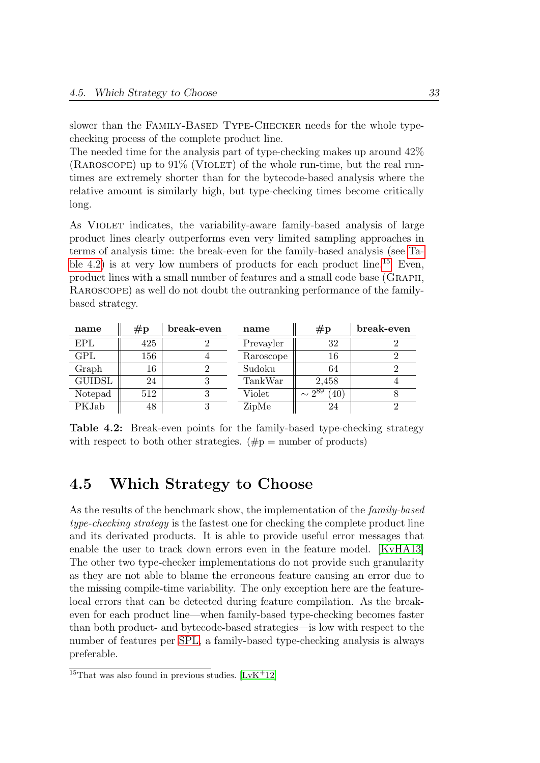slower than the FAMILY-BASED TYPE-CHECKER needs for the whole typechecking process of the complete product line.

The needed time for the analysis part of type-checking makes up around 42%  $(RAROSOPE)$  up to  $91\%$  (VIOLET) of the whole run-time, but the real runtimes are extremely shorter than for the bytecode-based analysis where the relative amount is similarly high, but type-checking times become critically long.

As VIOLET indicates, the variability-aware family-based analysis of large product lines clearly outperforms even very limited sampling approaches in terms of analysis time: the break-even for the family-based analysis (see [Ta](#page-38-0)[ble 4.2\)](#page-38-0) is at very low numbers of products for each product line.<sup>[15](#page-38-1)</sup> Even, product lines with a small number of features and a small code base (Graph, Raroscope) as well do not doubt the outranking performance of the familybased strategy.

<span id="page-38-0"></span>

| name          | $\#p$ | break-even | name      | $\#p$                             | break-even |
|---------------|-------|------------|-----------|-----------------------------------|------------|
| <b>EPL</b>    | 425   |            | Prevayler | 32                                |            |
| <b>GPL</b>    | 156   |            | Raroscope | 16                                |            |
| Graph         | 16    |            | Sudoku    | 64                                |            |
| <b>GUIDSL</b> | 24    |            | TankWar   | 2,458                             |            |
| Notepad       | 512   |            | Violet    | $\sim 2^{89}$<br>$^{'}40^{\circ}$ |            |
| PKJab         | 48    |            | ZipMe     | 24                                |            |

Table 4.2: Break-even points for the family-based type-checking strategy with respect to both other strategies.  $(\#p =$  number of products)

# 4.5 Which Strategy to Choose

As the results of the benchmark show, the implementation of the *family-based* type-checking strategy is the fastest one for checking the complete product line and its derivated products. It is able to provide useful error messages that enable the user to track down errors even in the feature model. [\[KvHA13\]](#page-68-0) The other two type-checker implementations do not provide such granularity as they are not able to blame the erroneous feature causing an error due to the missing compile-time variability. The only exception here are the featurelocal errors that can be detected during feature compilation. As the breakeven for each product line—when family-based type-checking becomes faster than both product- and bytecode-based strategies—is low with respect to the number of features per [SPL,](#page-48-1) a family-based type-checking analysis is always preferable.

<span id="page-38-1"></span><sup>&</sup>lt;sup>15</sup>That was also found in previous studies.  $[LvK+12]$  $[LvK+12]$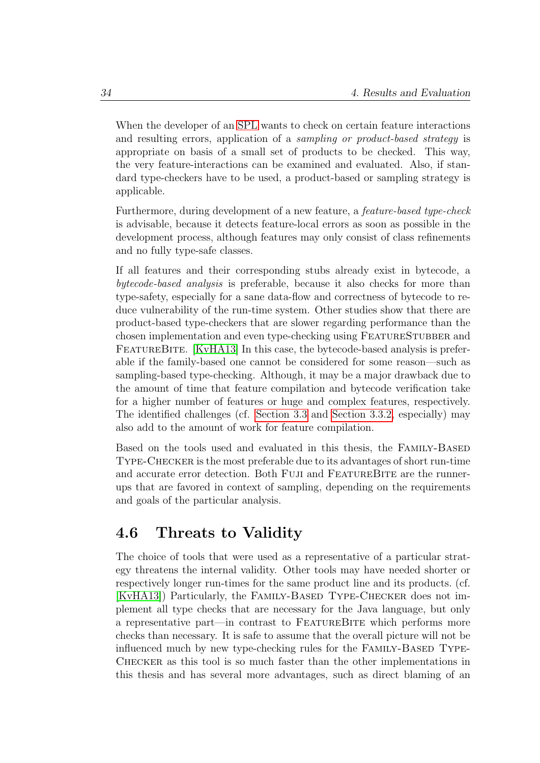When the developer of an [SPL](#page-48-1) wants to check on certain feature interactions and resulting errors, application of a sampling or product-based strategy is appropriate on basis of a small set of products to be checked. This way, the very feature-interactions can be examined and evaluated. Also, if standard type-checkers have to be used, a product-based or sampling strategy is applicable.

Furthermore, during development of a new feature, a feature-based type-check is advisable, because it detects feature-local errors as soon as possible in the development process, although features may only consist of class refinements and no fully type-safe classes.

If all features and their corresponding stubs already exist in bytecode, a bytecode-based analysis is preferable, because it also checks for more than type-safety, especially for a sane data-flow and correctness of bytecode to reduce vulnerability of the run-time system. Other studies show that there are product-based type-checkers that are slower regarding performance than the chosen implementation and even type-checking using FEATURESTUBBER and FEATUREBITE. [\[KvHA13\]](#page-68-0) In this case, the bytecode-based analysis is preferable if the family-based one cannot be considered for some reason—such as sampling-based type-checking. Although, it may be a major drawback due to the amount of time that feature compilation and bytecode verification take for a higher number of features or huge and complex features, respectively. The identified challenges (cf. [Section 3.3](#page-20-0) and [Section 3.3.2,](#page-21-0) especially) may also add to the amount of work for feature compilation.

Based on the tools used and evaluated in this thesis, the Family-Based Type-Checker is the most preferable due to its advantages of short run-time and accurate error detection. Both FUJI and FEATUREBITE are the runnerups that are favored in context of sampling, depending on the requirements and goals of the particular analysis.

# 4.6 Threats to Validity

The choice of tools that were used as a representative of a particular strategy threatens the internal validity. Other tools may have needed shorter or respectively longer run-times for the same product line and its products. (cf. [\[KvHA13\]](#page-68-0)) Particularly, the Family-Based Type-Checker does not implement all type checks that are necessary for the Java language, but only a representative part—in contrast to FeatureBite which performs more checks than necessary. It is safe to assume that the overall picture will not be influenced much by new type-checking rules for the FAMILY-BASED TYPE-Checker as this tool is so much faster than the other implementations in this thesis and has several more advantages, such as direct blaming of an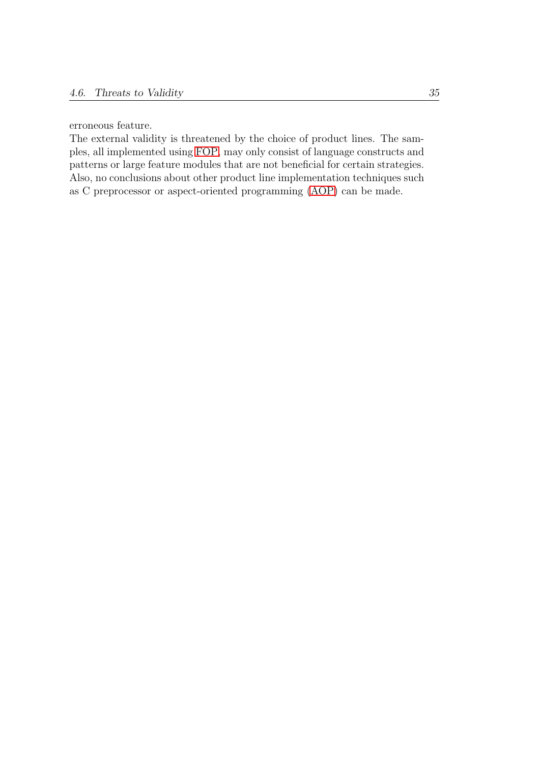erroneous feature.

The external validity is threatened by the choice of product lines. The samples, all implemented using [FOP,](#page-48-2) may only consist of language constructs and patterns or large feature modules that are not beneficial for certain strategies. Also, no conclusions about other product line implementation techniques such as C preprocessor or aspect-oriented programming [\(AOP\)](#page-48-3) can be made.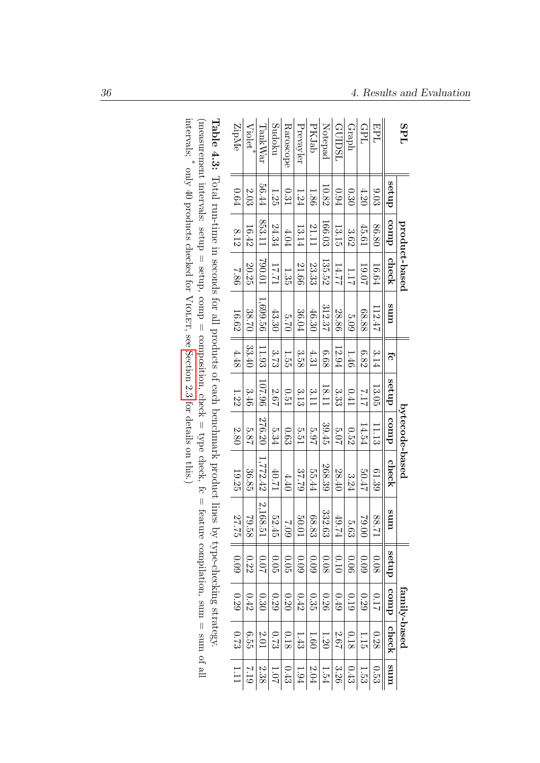| <b>SPL</b>                                                                                                       |          |        | product-based |           |       |          | bytecode-based |          |          |      | family-based |          |                 |
|------------------------------------------------------------------------------------------------------------------|----------|--------|---------------|-----------|-------|----------|----------------|----------|----------|------|--------------|----------|-----------------|
|                                                                                                                  | dnas     | comp   | check         | ums       | fc    | dnas     | comp           | check    | ums      | dnas | duro         | check    | ums             |
| EPL                                                                                                              | 0.03     | 86.80  | 16.64         | 112.47    | 3.14  | 13.05    | 11.13          | 61.39    | 17.88    | 0.08 | 0.17         | 0.28     | ်<br>၁၁         |
| GPL                                                                                                              | 4.20     | 45.61  | 10.07         | 68.88     | 6.82  | 7.17     | 14.54          | 50.47    | $00.07$  | 60.0 | 0.29         | 1.15     | 1.53            |
| de.r.                                                                                                            | 0.30     | 3.62   | 111           | 5.09      | 1.46  | 0.41     | 0.52           | 3.24     | 5.63     | 0.06 | 0.19         | 0.18     | 0.43            |
| GUIDSL                                                                                                           | 0.94     | 13.15  | 14.77         | 28.86     | 12.94 | 33<br>33 | 2.07           | 28.40    | 49.74    | 0.10 | 0.49         | 2.67     | 3.26            |
| Notepad                                                                                                          | 10.82    | 166.03 | 135.52        | 312.37    | 89.9  | 18.11    | 39.45          | 268.39   | 332.63   | 0.08 | 0.26         | $1.20\,$ | 1.54            |
| <b>PKJab</b>                                                                                                     | 1.86     | 21.11  | 23.33         | 46.30     | 4.31  | 3.11     | 2.97           | 55.44    | 68.83    | 60.0 | 0.35         | $1.60\,$ | $2.04\,$        |
| Prevayler                                                                                                        | $1.24\,$ | 13.14  | 21.66         | $36.04\,$ | 3.58  | 3.13     | 5.51           | 37.79    | 50.01    | 0.09 | 0.42         | 1.43     | 1.94            |
| Raroscope                                                                                                        | 0.31     | 4.04   | 1.35          | 0.75      | 1.50  | 0.51     | 0.63           | 4.40     | 60'Z     | 0.05 | 0.20         | 0.18     | 0.43            |
| Sudoku                                                                                                           | 1.25     | 24.34  | 17.71         | 43.30     | 3.73  | 2.67     | 5.34           | 12.04    | 52.45    | 0.05 | 0.29         | 6.73     | 10 <sub>1</sub> |
| $\operatorname{TanhWar}$                                                                                         | 56.44    | 853.11 | 10.005        | 1,699.56  | 11.93 | 96'101   | 276.20         | 1,772.42 | 2,168.51 | 10.0 | 0.30         | 2.01     | 2.38            |
| $Violet^*$                                                                                                       | 2.03     | 16.42  | 20.25         | 38.70     | 33.40 | 3.46     | 5.87           | 36.85    | 79.58    | 0.22 | 0.42         | 6.55     | 612             |
| ZipMe                                                                                                            | 0.64     | 8.12   | 7.86          | 16.62     | 4.48  | 1.22     | 2.80           | 19.25    | 27.75    | 0.09 | 0.29         | 6.73     | 1.11            |
| Table 4.3: Total run-time in seconds for all products of each benchmark product lines by type-checking strategy. |          |        |               |           |       |          |                |          |          |      |              |          |                 |

<span id="page-41-0"></span>intervals; (measurement intervals: setup = setup, comp = composition, check = type check, fc = feature compilation, sum = sum of all \* only 40 products checked for Violet, see [Section](#page-14-0) 2.3 for details on this.)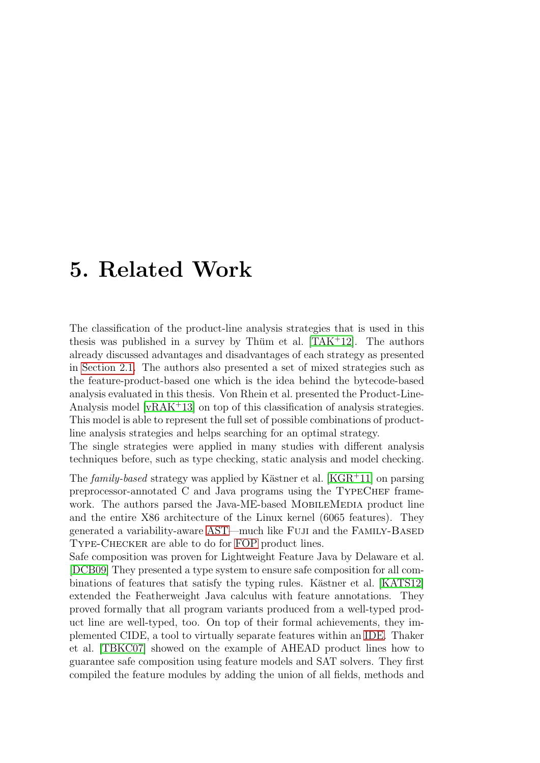# 5. Related Work

The classification of the product-line analysis strategies that is used in this thesis was published in a survey by Thüm et al.  $[TAK<sup>+</sup>12]$  $[TAK<sup>+</sup>12]$ . The authors already discussed advantages and disadvantages of each strategy as presented in [Section 2.1.](#page-10-0) The authors also presented a set of mixed strategies such as the feature-product-based one which is the idea behind the bytecode-based analysis evaluated in this thesis. Von Rhein et al. presented the Product-Line-Analysis model [\[vRAK](#page-70-0)+13] on top of this classification of analysis strategies. This model is able to represent the full set of possible combinations of productline analysis strategies and helps searching for an optimal strategy.

The single strategies were applied in many studies with different analysis techniques before, such as type checking, static analysis and model checking.

The family-based strategy was applied by Kästner et al. [\[KGR](#page-68-1)+11] on parsing preprocessor-annotated C and Java programs using the TypeChef framework. The authors parsed the Java-ME-based MOBILEMEDIA product line and the entire X86 architecture of the Linux kernel (6065 features). They generated a variability-aware [AST—](#page-48-4)much like Fuji and the Family-Based Type-Checker are able to do for [FOP](#page-48-2) product lines.

Safe composition was proven for Lightweight Feature Java by Delaware et al. [\[DCB09\]](#page-67-0) They presented a type system to ensure safe composition for all com-binations of features that satisfy the typing rules. Kästner et al. [\[KATS12\]](#page-68-2) extended the Featherweight Java calculus with feature annotations. They proved formally that all program variants produced from a well-typed product line are well-typed, too. On top of their formal achievements, they implemented CIDE, a tool to virtually separate features within an [IDE.](#page-48-5) Thaker et al. [\[TBKC07\]](#page-69-2) showed on the example of AHEAD product lines how to guarantee safe composition using feature models and SAT solvers. They first compiled the feature modules by adding the union of all fields, methods and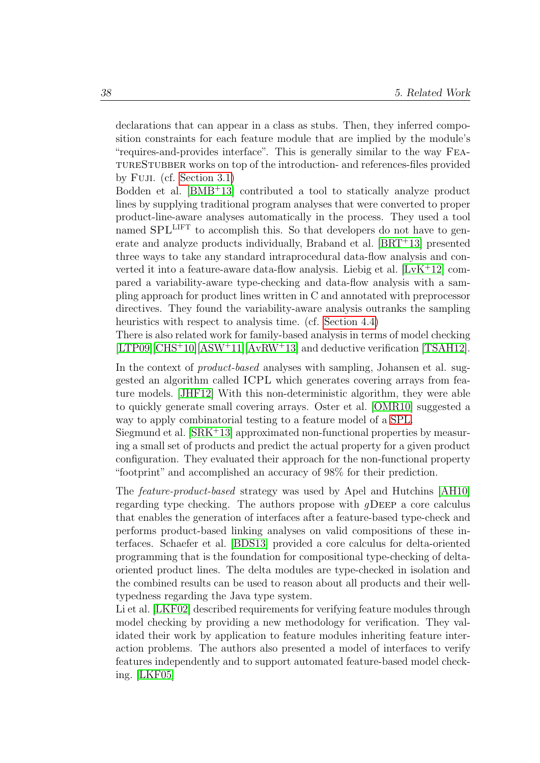declarations that can appear in a class as stubs. Then, they inferred composition constraints for each feature module that are implied by the module's "requires-and-provides interface". This is generally similar to the way FeatureStubber works on top of the introduction- and references-files provided by Fuji. (cf. [Section 3.1\)](#page-19-0)

Bodden et al. [\[BMB](#page-67-1)<sup>+</sup>13] contributed a tool to statically analyze product lines by supplying traditional program analyses that were converted to proper product-line-aware analyses automatically in the process. They used a tool named SPL<sup>LIFT</sup> to accomplish this. So that developers do not have to generate and analyze products individually, Braband et al. [\[BRT](#page-67-2)<sup>+</sup>13] presented three ways to take any standard intraprocedural data-flow analysis and converted it into a feature-aware data-flow analysis. Liebig et al. [\[LvK](#page-69-0)<sup>+</sup>12] compared a variability-aware type-checking and data-flow analysis with a sampling approach for product lines written in C and annotated with preprocessor directives. They found the variability-aware analysis outranks the sampling heuristics with respect to analysis time. (cf. [Section 4.4\)](#page-34-1)

There is also related work for family-based analysis in terms of model checking  $[LTP09][CHS^+10][ASW^+11][AvRW^+13]$  $[LTP09][CHS^+10][ASW^+11][AvRW^+13]$  $[LTP09][CHS^+10][ASW^+11][AvRW^+13]$  $[LTP09][CHS^+10][ASW^+11][AvRW^+13]$  $[LTP09][CHS^+10][ASW^+11][AvRW^+13]$  $[LTP09][CHS^+10][ASW^+11][AvRW^+13]$  $[LTP09][CHS^+10][ASW^+11][AvRW^+13]$  and deductive verification  $[TSAH12]$ .

In the context of *product-based* analyses with sampling, Johansen et al. suggested an algorithm called ICPL which generates covering arrays from feature models. [\[JHF12\]](#page-67-4) With this non-deterministic algorithm, they were able to quickly generate small covering arrays. Oster et al. [\[OMR10\]](#page-69-3) suggested a way to apply combinatorial testing to a feature model of a [SPL.](#page-48-1)

Siegmund et al. [\[SRK](#page-69-4)<sup>+</sup>13] approximated non-functional properties by measuring a small set of products and predict the actual property for a given product configuration. They evaluated their approach for the non-functional property "footprint" and accomplished an accuracy of 98% for their prediction.

The feature-product-based strategy was used by Apel and Hutchins [\[AH10\]](#page-66-2) regarding type checking. The authors propose with  $q$ DEEP a core calculus that enables the generation of interfaces after a feature-based type-check and performs product-based linking analyses on valid compositions of these interfaces. Schaefer et al. [\[BDS13\]](#page-67-5) provided a core calculus for delta-oriented programming that is the foundation for compositional type-checking of deltaoriented product lines. The delta modules are type-checked in isolation and the combined results can be used to reason about all products and their welltypedness regarding the Java type system.

Li et al. [\[LKF02\]](#page-68-4) described requirements for verifying feature modules through model checking by providing a new methodology for verification. They validated their work by application to feature modules inheriting feature interaction problems. The authors also presented a model of interfaces to verify features independently and to support automated feature-based model checking. [\[LKF05\]](#page-68-5)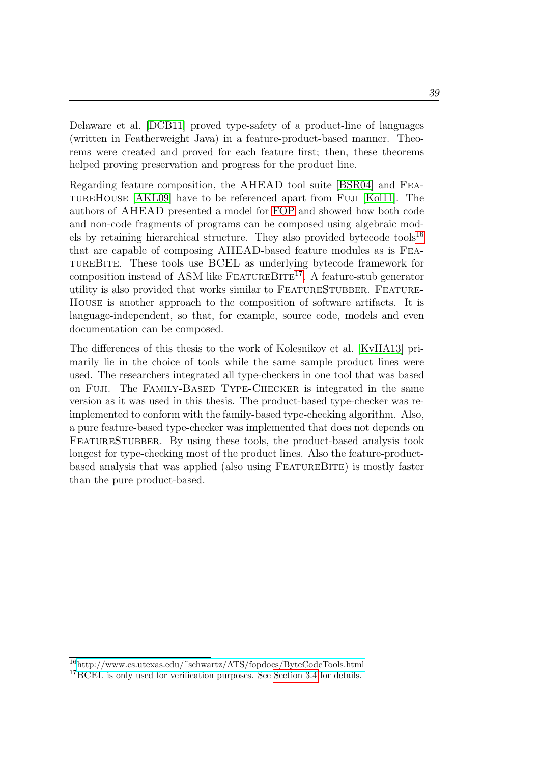Delaware et al. [\[DCB11\]](#page-67-6) proved type-safety of a product-line of languages (written in Featherweight Java) in a feature-product-based manner. Theorems were created and proved for each feature first; then, these theorems helped proving preservation and progress for the product line.

Regarding feature composition, the AHEAD tool suite [\[BSR04\]](#page-67-7) and FeatureHouse [\[AKL09\]](#page-66-3) have to be referenced apart from Fuji [\[Kol11\]](#page-68-6). The authors of AHEAD presented a model for [FOP](#page-48-2) and showed how both code and non-code fragments of programs can be composed using algebraic mod-els by retaining hierarchical structure. They also provided bytecode tools<sup>[16](#page-44-0)</sup> that are capable of composing AHEAD-based feature modules as is FeatureBite. These tools use BCEL as underlying bytecode framework for composition instead of ASM like  $F_{\text{EATURE}}BT_{\text{E}}^{17}$  $F_{\text{EATURE}}BT_{\text{E}}^{17}$  $F_{\text{EATURE}}BT_{\text{E}}^{17}$ . A feature-stub generator utility is also provided that works similar to FEATURESTUBBER. FEATURE-House is another approach to the composition of software artifacts. It is language-independent, so that, for example, source code, models and even documentation can be composed.

The differences of this thesis to the work of Kolesnikov et al. [\[KvHA13\]](#page-68-0) primarily lie in the choice of tools while the same sample product lines were used. The researchers integrated all type-checkers in one tool that was based on Fuji. The Family-Based Type-Checker is integrated in the same version as it was used in this thesis. The product-based type-checker was reimplemented to conform with the family-based type-checking algorithm. Also, a pure feature-based type-checker was implemented that does not depends on FEATURESTUBBER. By using these tools, the product-based analysis took longest for type-checking most of the product lines. Also the feature-productbased analysis that was applied (also using FeatureBite) is mostly faster than the pure product-based.

<span id="page-44-0"></span><sup>16</sup>[http://www.cs.utexas.edu/˜schwartz/ATS/fopdocs/ByteCodeTools.html](http://www.cs.utexas.edu/~schwartz/ATS/fopdocs/ByteCodeTools.html)

<span id="page-44-1"></span><sup>&</sup>lt;sup>17</sup>BCEL is only used for verification purposes. See [Section 3.4](#page-25-0) for details.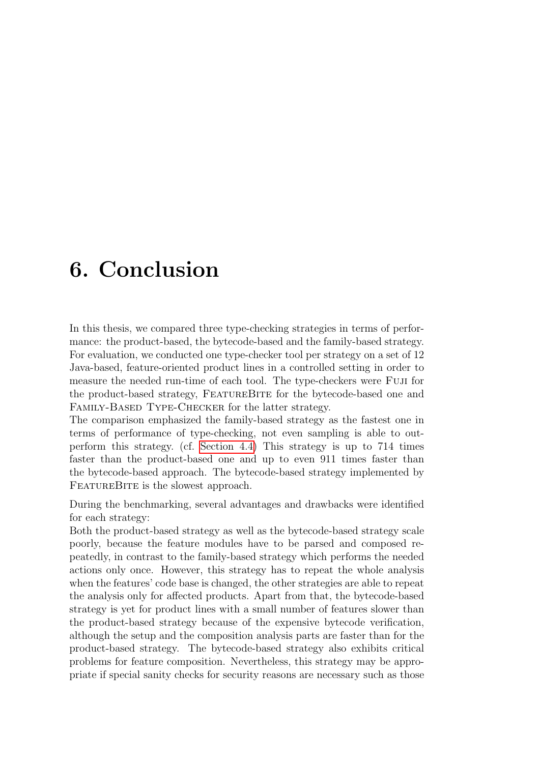# 6. Conclusion

In this thesis, we compared three type-checking strategies in terms of performance: the product-based, the bytecode-based and the family-based strategy. For evaluation, we conducted one type-checker tool per strategy on a set of 12 Java-based, feature-oriented product lines in a controlled setting in order to measure the needed run-time of each tool. The type-checkers were Fuji for the product-based strategy, FeatureBite for the bytecode-based one and Family-Based Type-Checker for the latter strategy.

The comparison emphasized the family-based strategy as the fastest one in terms of performance of type-checking, not even sampling is able to outperform this strategy. (cf. [Section 4.4\)](#page-34-1) This strategy is up to 714 times faster than the product-based one and up to even 911 times faster than the bytecode-based approach. The bytecode-based strategy implemented by FEATUREBITE is the slowest approach.

During the benchmarking, several advantages and drawbacks were identified for each strategy:

Both the product-based strategy as well as the bytecode-based strategy scale poorly, because the feature modules have to be parsed and composed repeatedly, in contrast to the family-based strategy which performs the needed actions only once. However, this strategy has to repeat the whole analysis when the features' code base is changed, the other strategies are able to repeat the analysis only for affected products. Apart from that, the bytecode-based strategy is yet for product lines with a small number of features slower than the product-based strategy because of the expensive bytecode verification, although the setup and the composition analysis parts are faster than for the product-based strategy. The bytecode-based strategy also exhibits critical problems for feature composition. Nevertheless, this strategy may be appropriate if special sanity checks for security reasons are necessary such as those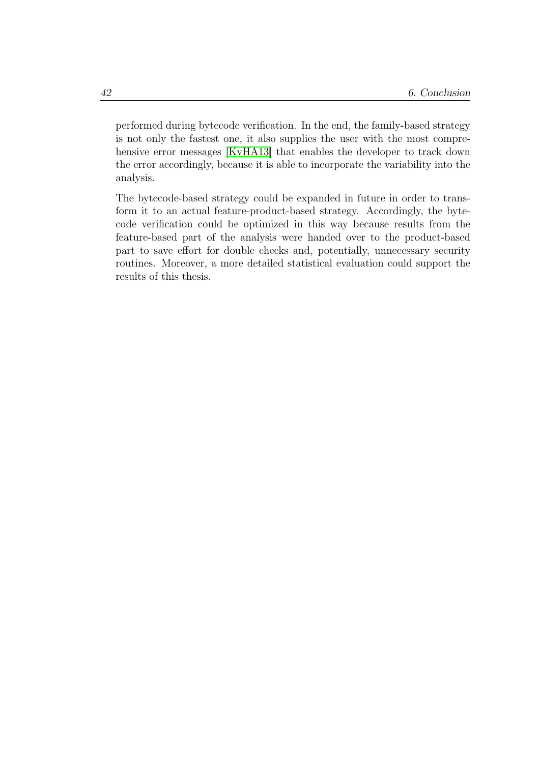performed during bytecode verification. In the end, the family-based strategy is not only the fastest one, it also supplies the user with the most comprehensive error messages [\[KvHA13\]](#page-68-0) that enables the developer to track down the error accordingly, because it is able to incorporate the variability into the analysis.

The bytecode-based strategy could be expanded in future in order to transform it to an actual feature-product-based strategy. Accordingly, the bytecode verification could be optimized in this way because results from the feature-based part of the analysis were handed over to the product-based part to save effort for double checks and, potentially, unnecessary security routines. Moreover, a more detailed statistical evaluation could support the results of this thesis.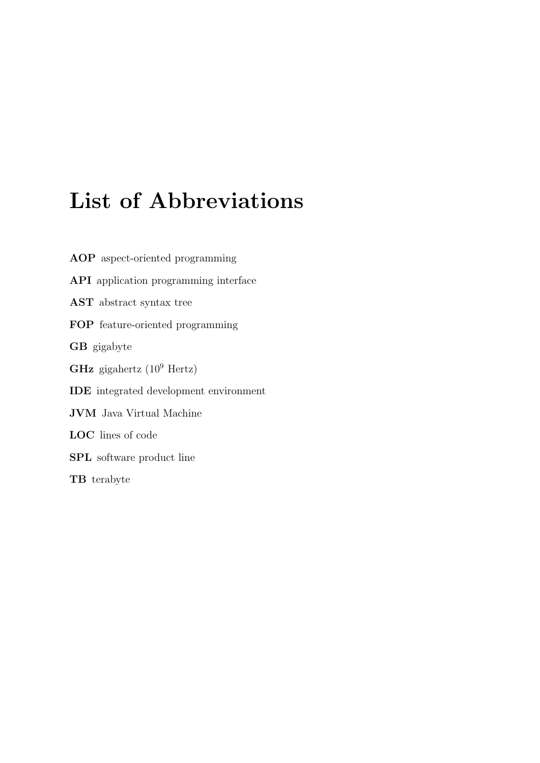# List of Abbreviations

<span id="page-48-5"></span><span id="page-48-4"></span><span id="page-48-3"></span><span id="page-48-2"></span><span id="page-48-1"></span><span id="page-48-0"></span>AOP aspect-oriented programming API application programming interface AST abstract syntax tree FOP feature-oriented programming GB gigabyte GHz gigahertz  $(10^9 \text{ Hertz})$ IDE integrated development environment JVM Java Virtual Machine LOC lines of code SPL software product line TB terabyte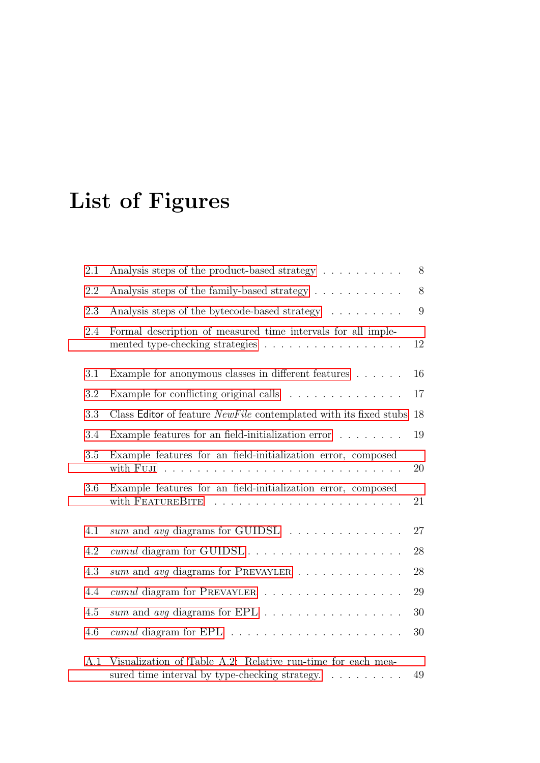# List of Figures

| 2.1 | Analysis steps of the product-based strategy                                                                                      | 8  |
|-----|-----------------------------------------------------------------------------------------------------------------------------------|----|
| 2.2 | Analysis steps of the family-based strategy                                                                                       | 8  |
| 2.3 | Analysis steps of the bytecode-based strategy                                                                                     | 9  |
| 2.4 | Formal description of measured time intervals for all imple-<br>mented type-checking strategies                                   | 12 |
| 3.1 | Example for anonymous classes in different features                                                                               | 16 |
| 3.2 | Example for conflicting original calls $\dots \dots \dots \dots \dots$                                                            | 17 |
| 3.3 | Class Editor of feature NewFile contemplated with its fixed stubs                                                                 | 18 |
| 3.4 | Example features for an field-initialization error                                                                                | 19 |
| 3.5 | Example features for an field-initialization error, composed                                                                      | 20 |
| 3.6 | Example features for an field-initialization error, composed<br>with FEATUREBITE                                                  | 21 |
| 4.1 | sum and avg diagrams for GUIDSL                                                                                                   | 27 |
| 4.2 | cumul diagram for GUIDSL                                                                                                          | 28 |
| 4.3 | sum and any diagrams for PREVAYLER                                                                                                | 28 |
| 4.4 | cumul diagram for PREVAYLER                                                                                                       | 29 |
| 4.5 | sum and avg diagrams for EPL                                                                                                      | 30 |
| 4.6 |                                                                                                                                   | 30 |
| A.1 | Visualization of Table A.2: Relative run-time for each mea-<br>sured time interval by type-checking strategy. $\dots \dots \dots$ | 49 |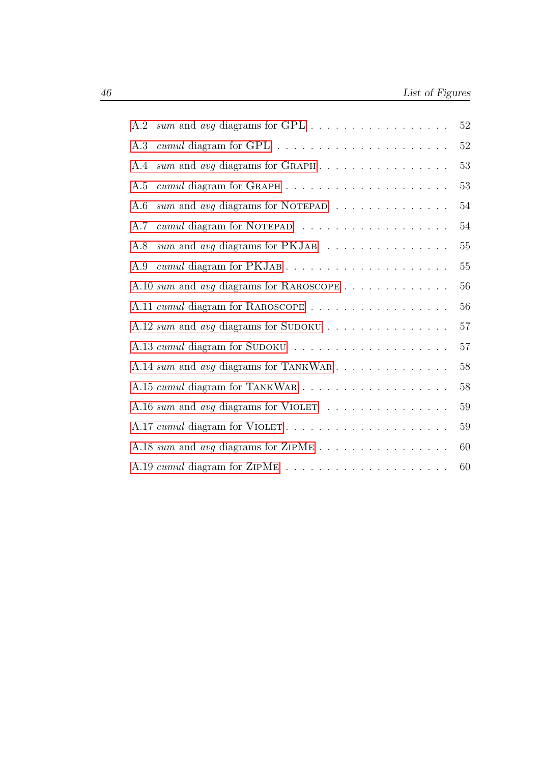| sum and avg diagrams for GPL<br>A.2            | $52\,$ |
|------------------------------------------------|--------|
| A.3                                            | $52\,$ |
| sum and avg diagrams for GRAPH<br>A.4          | 53     |
| A.5                                            | 53     |
| sum and avg diagrams for NOTEPAD<br>A.6        | 54     |
| cumul diagram for NOTEPAD<br>A.7               | 54     |
| sum and avg diagrams for PKJAB<br>A.8          | $55\,$ |
| A.9                                            | 55     |
| A.10 sum and avg diagrams for RAROSCOPE        | 56     |
| A.11 cumul diagram for RAROSCOPE               | 56     |
| A.12 sum and avg diagrams for SUDOKU           | 57     |
|                                                | 57     |
| A.14 sum and avg diagrams for TANKWAR          | 58     |
|                                                | 58     |
| A.16 sum and avg diagrams for VIOLET           | 59     |
| A.17 cumul diagram for VIOLET                  | 59     |
| A.18 sum and avg diagrams for ZIPME $\ldots$ , | 60     |
|                                                | 60     |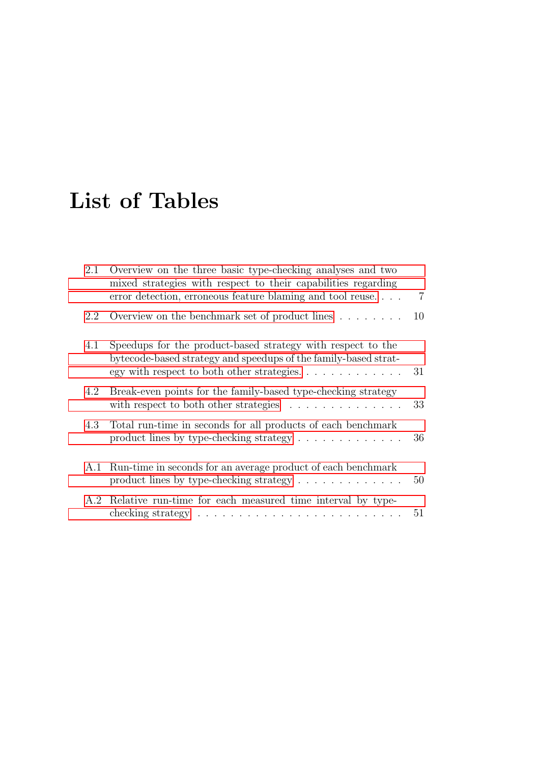# List of Tables

| 2.1 | Overview on the three basic type-checking analyses and two<br>mixed strategies with respect to their capabilities regarding<br>error detection, erroneous feature blaming and tool reuse | $\overline{7}$ |
|-----|------------------------------------------------------------------------------------------------------------------------------------------------------------------------------------------|----------------|
| 2.2 | Overview on the benchmark set of product lines $\dots \dots$                                                                                                                             | 10             |
| 4.1 | Speedups for the product-based strategy with respect to the<br>bytecode-based strategy and speedups of the family-based strat-                                                           | 31             |
| 4.2 | Break-even points for the family-based type-checking strategy<br>with respect to both other strategies $\ldots \ldots \ldots \ldots$                                                     | 33             |
| 4.3 | Total run-time in seconds for all products of each benchmark<br>product lines by type-checking strategy $\dots \dots \dots \dots$                                                        | 36             |
| A.1 | Run-time in seconds for an average product of each benchmark<br>product lines by type-checking strategy $\dots \dots \dots \dots$                                                        | 50             |
|     | A.2 Relative run-time for each measured time interval by type-<br>checking strategy $\dots \dots \dots \dots \dots \dots \dots \dots \dots \dots$                                        | 51             |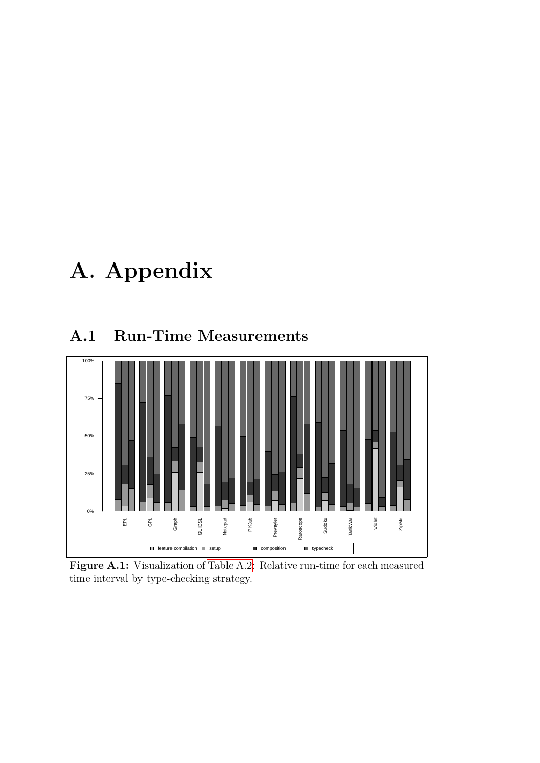# A. Appendix

# A.1 Run-Time Measurements

<span id="page-54-0"></span>

Figure A.1: Visualization of [Table A.2:](#page-56-0) Relative run-time for each measured time interval by type-checking strategy.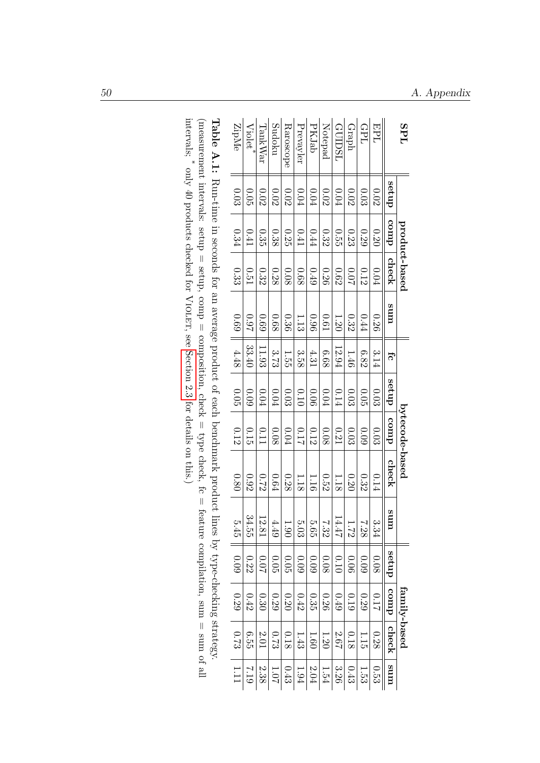| <b>SPL</b>                                                                               |          |      | product-based |          |        |          | bytecode-based |          |                   |            | family-based      |                                   |          |
|------------------------------------------------------------------------------------------|----------|------|---------------|----------|--------|----------|----------------|----------|-------------------|------------|-------------------|-----------------------------------|----------|
|                                                                                          | dnas     | comp | check         | ums      | fc     | dnas     | comp           | check    | ā<br>$\mathbf{m}$ | dnps       | duroo             | check                             | ums      |
| EPL                                                                                      | $0.02\,$ | 0.20 | $0.04\,$      | 0.26     | 3.14   | 0.03     | 0.03           | 0.14     | $3.34\,$          | $0.08\,$   | 2110              | 0.28                              | 0.53     |
| GPL                                                                                      | 0.03     | 0.29 | 0.12          | 0.44     | 6.82   | 0.05     | 0.09           | 0.32     | 7.28              | $0.09$     | $0.29\,$          | 1.15                              | $1.53\,$ |
| Graph                                                                                    | $0.02\,$ | 0.23 | 20.0          | 0.32     | 1.46   | 0.03     | 0.03           | 0.20     | 1.72              | 0.06       | 0.19              | $0.18\,$                          | $0.43\,$ |
| GUIDSL                                                                                   | 0.04     | 0.55 | 0.62          | 1.20     | 12.94  | 0.14     | 0.21           | 1.18     | 14.47             | 0.10       | $0.49\,$          | $2.67$                            | $3.26\,$ |
| Notepad                                                                                  | $0.02\,$ | 0.32 | 0.26          | $\,0.61$ | 6.68   | $0.04\,$ | 0.08           | 0.52     | 7.32              | $0.08\,$   | $0.26\,$          | $1.20\,$                          | $1.54\,$ |
| PKJab                                                                                    | $0.04\,$ | 0.44 | 0.49          | 0.96     | 4.31   | 0.06     | 0.12           | 1.16     | 5.65              | $0.09\,$   | 0.35              | 1.60                              | $2.04\,$ |
| Prevayler                                                                                | $0.04\,$ | 0.41 | 0.68          | 1.13     | 3.58   | 0.10     | 110            | 1.18     | $5.03$            | $60^\circ$ | $0.42\,$          | $1.43$                            | $1.94\,$ |
| Raroscope                                                                                | 0.02     | 0.25 | 0.08          | 0.36     | 1.55   | 0.03     | 0.04           | 0.28     | $1.90\,$          | $0.05\,$   | $\overline{0.20}$ | $0.18\,$                          | $0.43\,$ |
| Sudoku                                                                                   | $0.02$   | 0.38 | 0.28          | $\,0.68$ | 3.73   | $0.04\,$ | 0.08           | $0.64\,$ | $4.49$            | $0.05$     | $0.29\,$          | $6.73$                            | $1.07\,$ |
| TankWar                                                                                  | $0.02$   | 0.35 | 0.32          | 69.0     | 11.93  | $0.04\,$ | 0.11           | 0.72     | $12.81\,$         | $20.07$    | $0.30\,$          | $2.01\,$                          | $2.38\,$ |
| $Viodet^*$                                                                               | $0.05$   | 0.41 | 0.51          | 260      | 33.40  | 60.09    | 0.15           | $0.92\,$ | 34.55             | 0.22       | $0.42\,$          | 6.55                              | 612      |
| ZipMe                                                                                    | $0.03\,$ | 0.34 | 0.33          | 690      | $4.48$ | 0.05     | 0.12           | 0.80     | 5.45              | $0.09$     | $0.29\,$          | 6.73                              | 1.11     |
| <b>Taple A: I:</b> Run-time in seconds for an axerage product of each penchumark product |          |      |               |          |        |          |                |          |                   |            |                   | Interviewer Strategies Strategies |          |

<span id="page-55-0"></span>Run-time in seconds for an average product of each benchmark product lines by type-checking strategy. intervals; (measurement intervals: setup = setup, comp = composition, check = type check, fc = feature compilation, sum = sum of all \* only 40 products checked for Violet, see [Section](#page-14-0) 2.3 for details on this.)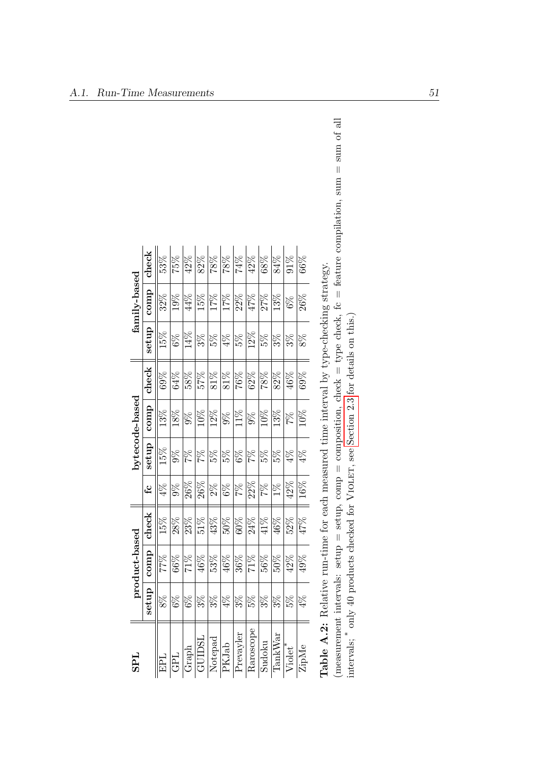<span id="page-56-0"></span>

| $1\overline{4}$          |       | product-based |        |          |               | bytecode-based |       |       | family-based |                   |  |
|--------------------------|-------|---------------|--------|----------|---------------|----------------|-------|-------|--------------|-------------------|--|
|                          | setup | comp          | check  | <u>ي</u> | setup         | comp           | check | setup | comp         | check             |  |
| <b>TdE</b>               | $8\%$ | 77%           | 15%    | $4\%$    | 15%           | 13%            | 69%   | 15%   | $32\%$       | 53%               |  |
| <b>TdD</b>               | $6\%$ | 66%           | 28%    | $9\%$    | $9\%$         | 18%            | 64%   | $6\%$ | 19%          | 75%               |  |
| $\operatorname{Graph}$   | $6\%$ | $71\%$        | 23%    | 26%      | 7%            | $9\%$          | 58%   | 14%   | 4%           | 42%               |  |
| GUIDSI                   | $3\%$ | 46%           | $51\%$ | 26%      | $\frac{2}{2}$ | $10\%$         | 27%   | $3\%$ | 15%          | 82%               |  |
| Notepad                  | $3\%$ | 53%           | 43%    | $2\%$    | 5%            | 12%            | 81%   | $5\%$ | 17%          | 8%                |  |
| PKJab                    | $4\%$ | 46%           | $50\%$ | $6\%$    | 5%            | $9\%$          | 81%   | $4\%$ | $17\%$       | 78%               |  |
| Prevayler                | $3\%$ | 36%           | 60%    | 7%       | $6\%$         | 11%            | 76%   | 5%    | 22%          | $\frac{961}{256}$ |  |
| Raroscope                | 5%    | $71\%$        | 24%    | 22%      | 7%            | $9\%$          | 62%   | 12%   | 47%          | 42%               |  |
| Sudoku                   | $3\%$ | 56%           | 41%    | 7%       | 5%            | $10\%$         | 78%   | 5%    | 27%          | 68%               |  |
| $\operatorname{TankWar}$ | $3\%$ | 2005          | 46%    | $1\%$    | 5%            | 13%            | 82%   | $3\%$ | 13%          | 84%               |  |
| Violet <sup>*</sup>      | 5%    | 42%           | 52%    | 42%      | $4\%$         | $\%$           | 46%   | $3\%$ | $6\%$        | $\frac{8}{10}$    |  |
| ZipMe                    | $4\%$ | 49%           | 47%    | 16%      | $4\%$         | $10\%$         | 69%   | $8\%$ | 26%          | 66%               |  |
|                          |       |               |        |          |               |                |       |       |              |                   |  |

| j<br>J<br>l<br>l<br>Communication of the Contract of<br>l         |
|-------------------------------------------------------------------|
|                                                                   |
|                                                                   |
| ו<br>ו<br>ؘ<br>ا<br>$-1$                                          |
|                                                                   |
|                                                                   |
| じんこうじん へい<br>ジン・ニー・リン                                             |
| 5                                                                 |
| i<br>C<br>י<br>ו<br>ו                                             |
| )<br> <br> <br>$\vdots$<br>1、《诗经》 《诗经》<br>ı                       |
| ١<br>I<br>ı                                                       |
|                                                                   |
| l<br>֖֧ׅ֧ׅ֧ׅ֧ׅ֧֧ׅ֧֧ׅ֧֚֚֚֚֚֚֚֚֚֚֚֚֚֚֚֚֚֚֚֚֚֚֚֚֚֚֚֚֚֚֚֚֡֝֬֜֝֜֝֬֜֝֬֜ |
| $\overline{a}$                                                    |
| ;<br>}<br>ľ<br>İ                                                  |
|                                                                   |

(measurement intervals: setup = setup, comp = composition, check = type check, fc = feature compilation, sum = sum of all intervals; \* $^*$  only 40 products checked for VIOLET, see [Section](#page-14-0) 2.3 for details on this.)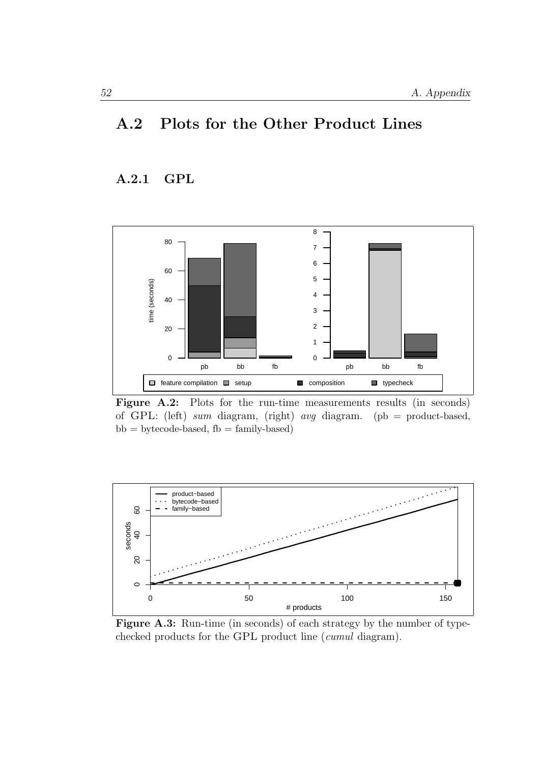# A.2 Plots for the Other Product Lines

### A.2.1 GPL

<span id="page-57-0"></span>

Figure A.2: Plots for the run-time measurements results (in seconds) of GPL: (left) sum diagram, (right) avg diagram. (pb = product-based,  $bb = bytecode-based, fb = family-based)$ 

<span id="page-57-1"></span>

Figure A.3: Run-time (in seconds) of each strategy by the number of typechecked products for the GPL product line (cumul diagram).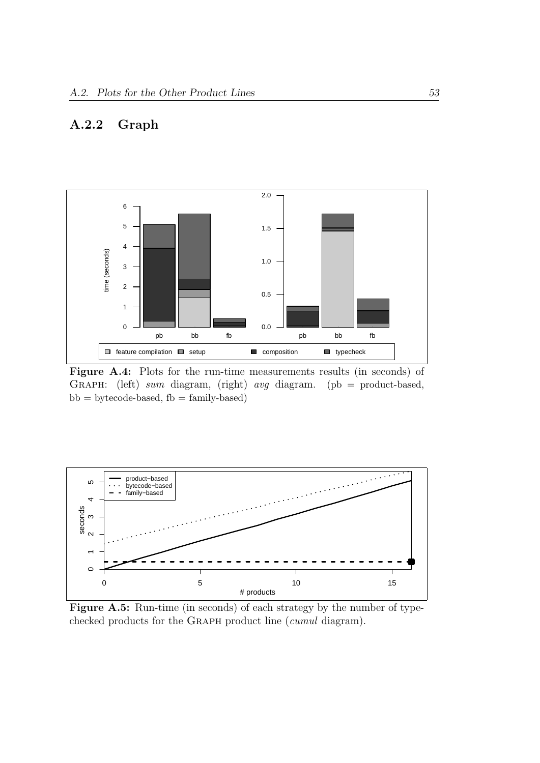# A.2.2 Graph

<span id="page-58-0"></span>

Figure A.4: Plots for the run-time measurements results (in seconds) of GRAPH: (left) sum diagram, (right) avg diagram. (pb = product-based,  $bb =$  bytecode-based,  $fb =$  family-based)

<span id="page-58-1"></span>

Figure A.5: Run-time (in seconds) of each strategy by the number of typechecked products for the Graph product line (cumul diagram).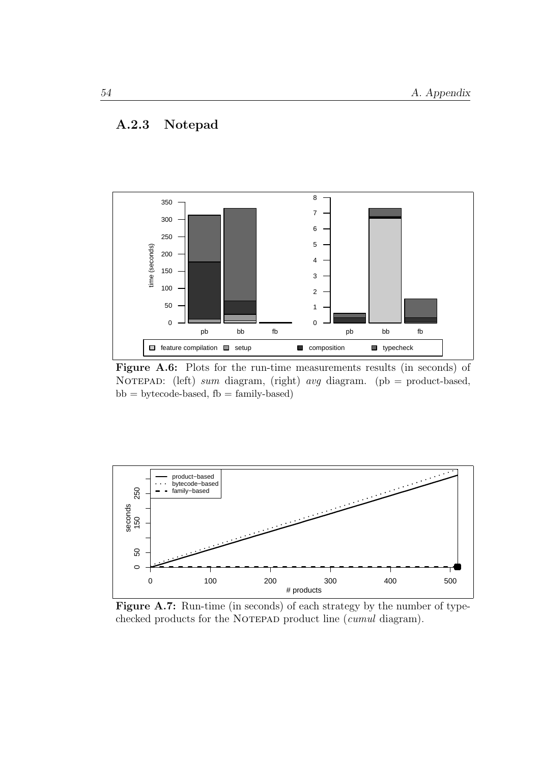### A.2.3 Notepad

<span id="page-59-0"></span>

Figure A.6: Plots for the run-time measurements results (in seconds) of NOTEPAD: (left) sum diagram, (right) avg diagram. (pb = product-based,  $bb = bytecode-based, fb = family-based)$ 

<span id="page-59-1"></span>

Figure A.7: Run-time (in seconds) of each strategy by the number of typechecked products for the NOTEPAD product line (*cumul* diagram).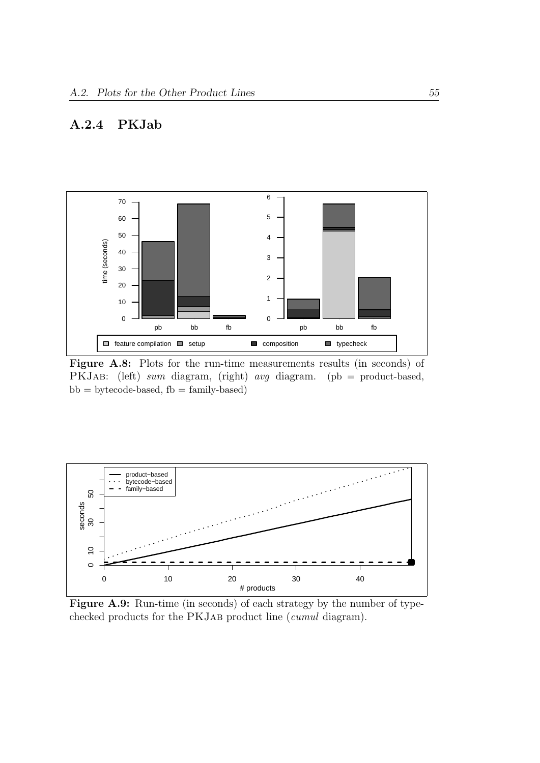## A.2.4 PKJab

<span id="page-60-0"></span>

Figure A.8: Plots for the run-time measurements results (in seconds) of PKJAB: (left) sum diagram, (right) avg diagram. (pb = product-based,  $bb =$  bytecode-based,  $fb =$  family-based)

<span id="page-60-1"></span>

Figure A.9: Run-time (in seconds) of each strategy by the number of typechecked products for the PKJAB product line (*cumul* diagram).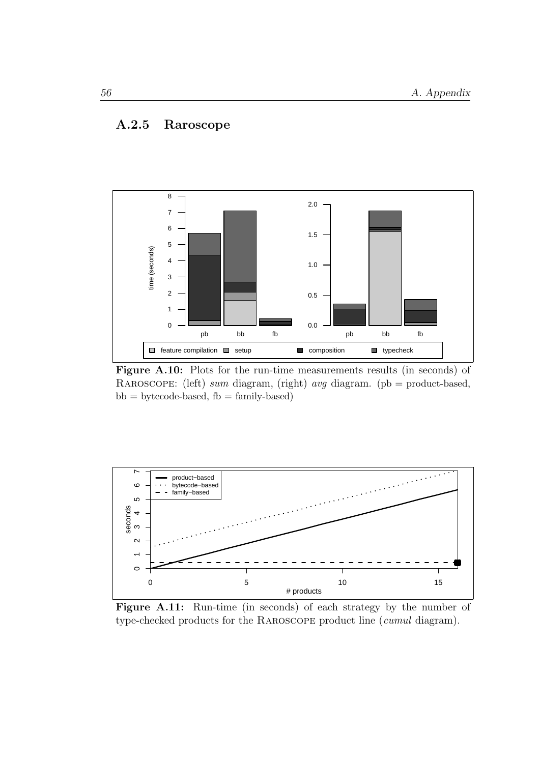## A.2.5 Raroscope

<span id="page-61-0"></span>

Figure A.10: Plots for the run-time measurements results (in seconds) of RAROSCOPE: (left) sum diagram, (right) avg diagram. (pb = product-based,  $bb = bytecode-based, fb = family-based)$ 

<span id="page-61-1"></span>

Figure A.11: Run-time (in seconds) of each strategy by the number of type-checked products for the Raroscope product line (cumul diagram).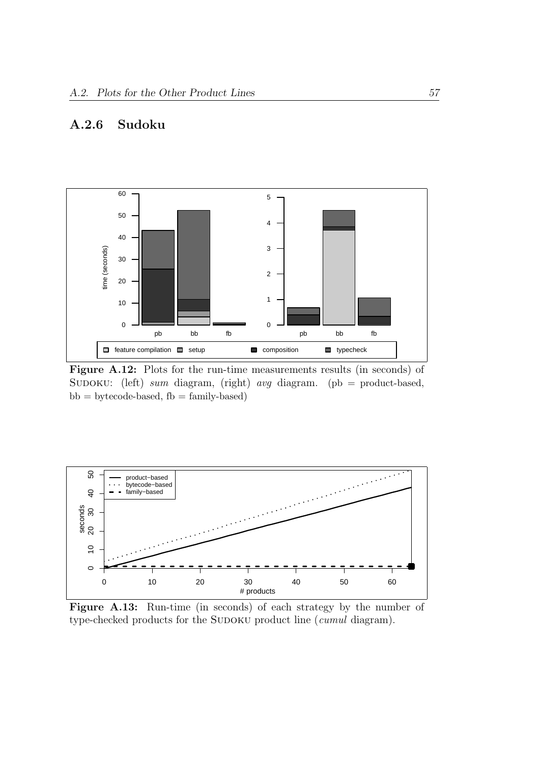# A.2.6 Sudoku

<span id="page-62-0"></span>

Figure A.12: Plots for the run-time measurements results (in seconds) of SUDOKU: (left) sum diagram, (right) avg diagram. (pb = product-based,  $bb = bytecode-based, fb = family-based)$ 

<span id="page-62-1"></span>

Figure A.13: Run-time (in seconds) of each strategy by the number of type-checked products for the SUDOKU product line (*cumul* diagram).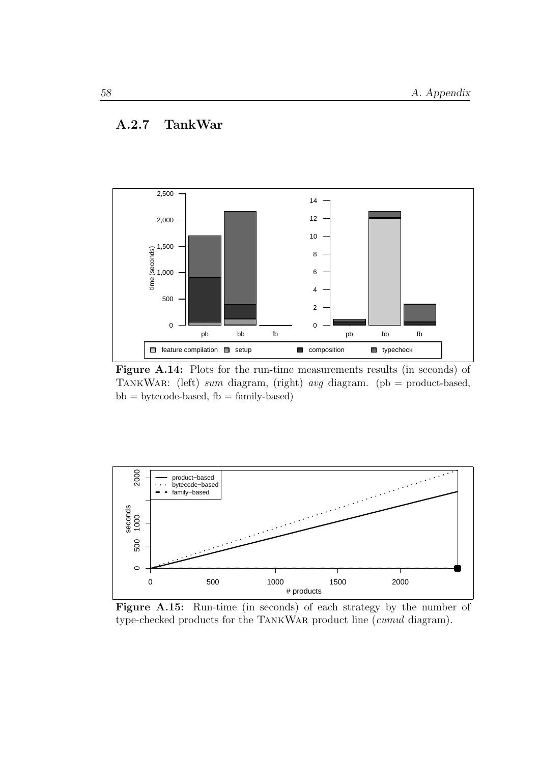#### A.2.7 TankWar

<span id="page-63-0"></span>

Figure A.14: Plots for the run-time measurements results (in seconds) of TankWar: (left) sum diagram, (right) avg diagram. (pb = product-based,  $bb = bytecode-based, fb = family-based)$ 

<span id="page-63-1"></span>

Figure A.15: Run-time (in seconds) of each strategy by the number of type-checked products for the TankWar product line (cumul diagram).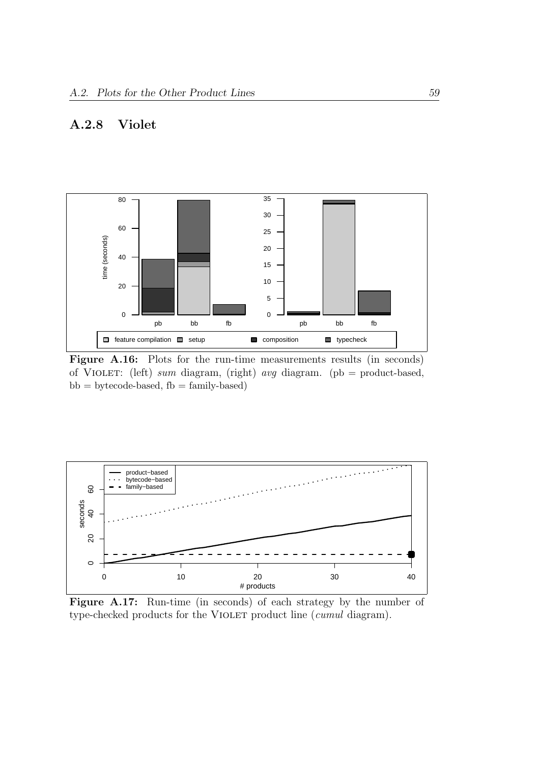## A.2.8 Violet

<span id="page-64-0"></span>

Figure A.16: Plots for the run-time measurements results (in seconds) of Violet: (left) sum diagram, (right) avg diagram. (pb = product-based,  $bb =$  bytecode-based,  $fb =$  family-based)

<span id="page-64-1"></span>

Figure A.17: Run-time (in seconds) of each strategy by the number of type-checked products for the VIOLET product line (*cumul* diagram).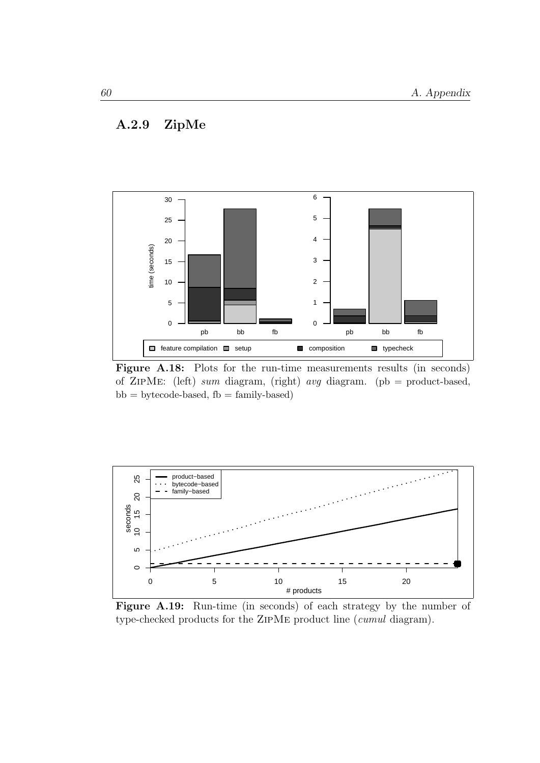### A.2.9 ZipMe

<span id="page-65-0"></span>

Figure A.18: Plots for the run-time measurements results (in seconds) of ZIPME: (left) sum diagram, (right) avg diagram. (pb = product-based,  $bb = bytecode-based, fb = family-based)$ 

<span id="page-65-1"></span>

Figure A.19: Run-time (in seconds) of each strategy by the number of type-checked products for the ZipMe product line (cumul diagram).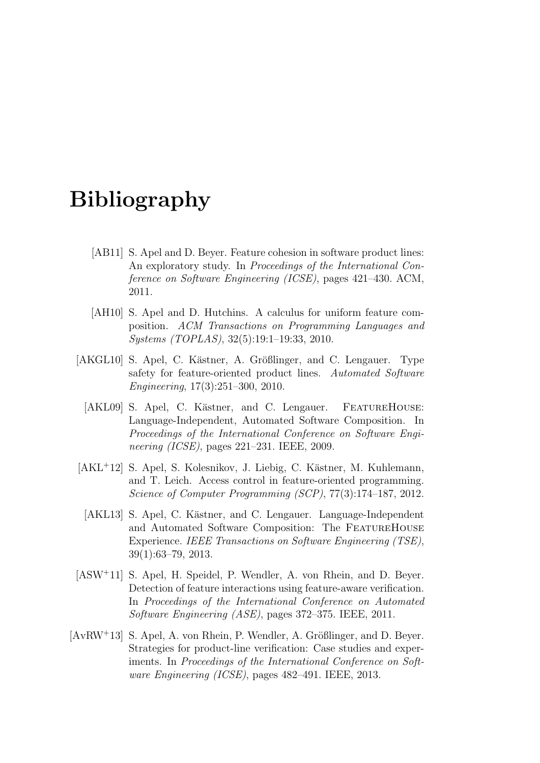# Bibliography

- [AB11] S. Apel and D. Beyer. Feature cohesion in software product lines: An exploratory study. In Proceedings of the International Conference on Software Engineering (ICSE), pages 421–430. ACM, 2011.
- <span id="page-66-2"></span>[AH10] S. Apel and D. Hutchins. A calculus for uniform feature composition. ACM Transactions on Programming Languages and Systems (TOPLAS), 32(5):19:1–19:33, 2010.
- <span id="page-66-3"></span>[AKGL10] S. Apel, C. Kästner, A. Größlinger, and C. Lengauer. Type safety for feature-oriented product lines. Automated Software Engineering, 17(3):251–300, 2010.
	- [AKL09] S. Apel, C. Kästner, and C. Lengauer. FEATUREHOUSE: Language-Independent, Automated Software Composition. In Proceedings of the International Conference on Software Engineering (ICSE), pages 221–231. IEEE, 2009.
- [AKL<sup>+</sup>12] S. Apel, S. Kolesnikov, J. Liebig, C. Kästner, M. Kuhlemann, and T. Leich. Access control in feature-oriented programming. Science of Computer Programming (SCP), 77(3):174–187, 2012.
- [AKL13] S. Apel, C. Kästner, and C. Lengauer. Language-Independent and Automated Software Composition: The FeatureHouse Experience. IEEE Transactions on Software Engineering (TSE), 39(1):63–79, 2013.
- <span id="page-66-0"></span>[ASW<sup>+</sup>11] S. Apel, H. Speidel, P. Wendler, A. von Rhein, and D. Beyer. Detection of feature interactions using feature-aware verification. In Proceedings of the International Conference on Automated Software Engineering (ASE), pages 372–375. IEEE, 2011.
- <span id="page-66-1"></span> $[AvRW^+13]$  S. Apel, A. von Rhein, P. Wendler, A. Größlinger, and D. Beyer. Strategies for product-line verification: Case studies and experiments. In Proceedings of the International Conference on Software Engineering (ICSE), pages 482–491. IEEE, 2013.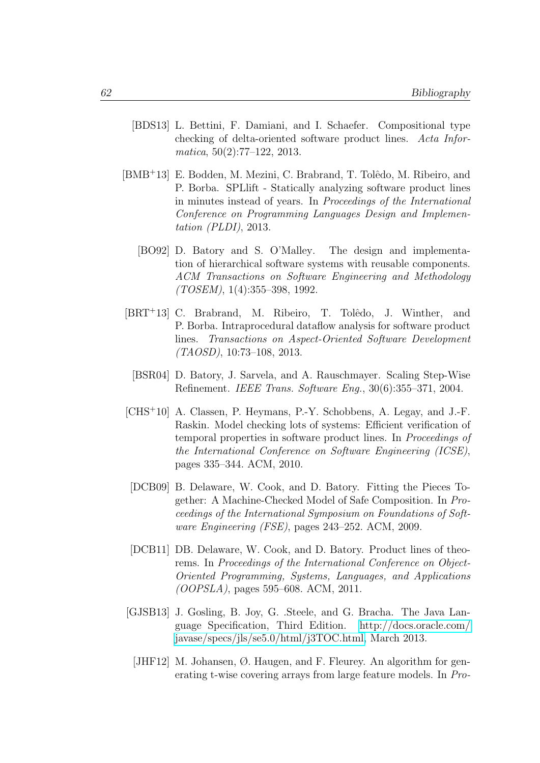- <span id="page-67-5"></span>[BDS13] L. Bettini, F. Damiani, and I. Schaefer. Compositional type checking of delta-oriented software product lines. Acta Informatica, 50(2):77–122, 2013.
- <span id="page-67-1"></span>[BMB<sup>+</sup>13] E. Bodden, M. Mezini, C. Brabrand, T. Tolêdo, M. Ribeiro, and P. Borba. SPLlift - Statically analyzing software product lines in minutes instead of years. In Proceedings of the International Conference on Programming Languages Design and Implementation (PLDI), 2013.
	- [BO92] D. Batory and S. O'Malley. The design and implementation of hierarchical software systems with reusable components. ACM Transactions on Software Engineering and Methodology  $(TOSEM)$ , 1(4):355–398, 1992.
- <span id="page-67-2"></span>[BRT<sup>+</sup>13] C. Brabrand, M. Ribeiro, T. Tolêdo, J. Winther, and P. Borba. Intraprocedural dataflow analysis for software product lines. Transactions on Aspect-Oriented Software Development (TAOSD), 10:73–108, 2013.
	- [BSR04] D. Batory, J. Sarvela, and A. Rauschmayer. Scaling Step-Wise Refinement. IEEE Trans. Software Eng., 30(6):355–371, 2004.
- <span id="page-67-7"></span><span id="page-67-3"></span>[CHS<sup>+</sup>10] A. Classen, P. Heymans, P.-Y. Schobbens, A. Legay, and J.-F. Raskin. Model checking lots of systems: Efficient verification of temporal properties in software product lines. In Proceedings of the International Conference on Software Engineering (ICSE), pages 335–344. ACM, 2010.
- <span id="page-67-0"></span>[DCB09] B. Delaware, W. Cook, and D. Batory. Fitting the Pieces Together: A Machine-Checked Model of Safe Composition. In Proceedings of the International Symposium on Foundations of Software Engineering (FSE), pages 243–252. ACM, 2009.
- <span id="page-67-6"></span>[DCB11] DB. Delaware, W. Cook, and D. Batory. Product lines of theorems. In Proceedings of the International Conference on Object-Oriented Programming, Systems, Languages, and Applications (OOPSLA), pages 595–608. ACM, 2011.
- <span id="page-67-4"></span>[GJSB13] J. Gosling, B. Joy, G. .Steele, and G. Bracha. The Java Language Specification, Third Edition. [http://docs.oracle.com/](http://docs.oracle.com/javase/specs/jls/se5.0/html/j3TOC.html) [javase/specs/jls/se5.0/html/j3TOC.html,](http://docs.oracle.com/javase/specs/jls/se5.0/html/j3TOC.html) March 2013.
	- [JHF12] M. Johansen, Ø. Haugen, and F. Fleurey. An algorithm for generating t-wise covering arrays from large feature models. In Pro-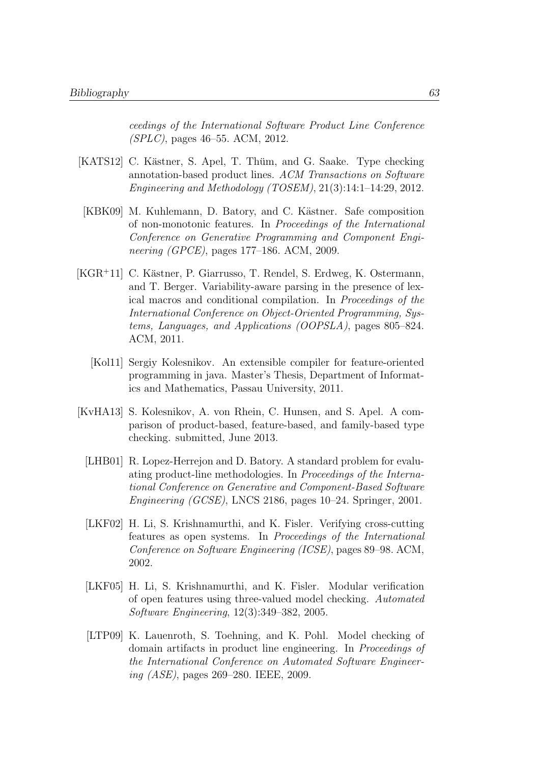ceedings of the International Software Product Line Conference (SPLC), pages 46–55. ACM, 2012.

- <span id="page-68-2"></span>[KATS12] C. Kästner, S. Apel, T. Thüm, and G. Saake. Type checking annotation-based product lines. ACM Transactions on Software Engineering and Methodology (TOSEM), 21(3):14:1–14:29, 2012.
- [KBK09] M. Kuhlemann, D. Batory, and C. Kästner. Safe composition of non-monotonic features. In Proceedings of the International Conference on Generative Programming and Component Engineering (GPCE), pages 177–186. ACM, 2009.
- <span id="page-68-1"></span>[KGR<sup>+</sup>11] C. Kästner, P. Giarrusso, T. Rendel, S. Erdweg, K. Ostermann, and T. Berger. Variability-aware parsing in the presence of lexical macros and conditional compilation. In Proceedings of the International Conference on Object-Oriented Programming, Systems, Languages, and Applications (OOPSLA), pages 805–824. ACM, 2011.
	- [Kol11] Sergiy Kolesnikov. An extensible compiler for feature-oriented programming in java. Master's Thesis, Department of Informatics and Mathematics, Passau University, 2011.
- <span id="page-68-6"></span><span id="page-68-5"></span><span id="page-68-4"></span><span id="page-68-3"></span><span id="page-68-0"></span>[KvHA13] S. Kolesnikov, A. von Rhein, C. Hunsen, and S. Apel. A comparison of product-based, feature-based, and family-based type checking. submitted, June 2013.
	- [LHB01] R. Lopez-Herrejon and D. Batory. A standard problem for evaluating product-line methodologies. In Proceedings of the International Conference on Generative and Component-Based Software Engineering (GCSE), LNCS 2186, pages 10–24. Springer, 2001.
	- [LKF02] H. Li, S. Krishnamurthi, and K. Fisler. Verifying cross-cutting features as open systems. In Proceedings of the International Conference on Software Engineering (ICSE), pages 89–98. ACM, 2002.
	- [LKF05] H. Li, S. Krishnamurthi, and K. Fisler. Modular verification of open features using three-valued model checking. Automated Software Engineering, 12(3):349–382, 2005.
	- [LTP09] K. Lauenroth, S. Toehning, and K. Pohl. Model checking of domain artifacts in product line engineering. In Proceedings of the International Conference on Automated Software Engineering (ASE), pages 269–280. IEEE, 2009.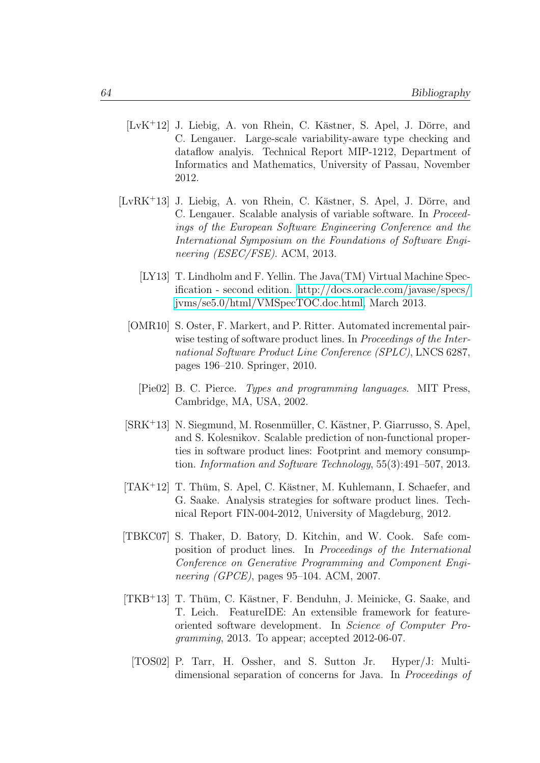- <span id="page-69-0"></span> $[LvK<sup>+</sup>12]$  J. Liebig, A. von Rhein, C. Kästner, S. Apel, J. Dörre, and C. Lengauer. Large-scale variability-aware type checking and dataflow analyis. Technical Report MIP-1212, Department of Informatics and Mathematics, University of Passau, November 2012.
- <span id="page-69-3"></span>[LvRK+13] J. Liebig, A. von Rhein, C. Kästner, S. Apel, J. Dörre, and C. Lengauer. Scalable analysis of variable software. In Proceedings of the European Software Engineering Conference and the International Symposium on the Foundations of Software Engineering *(ESEC/FSE)*. ACM, 2013.
	- [LY13] T. Lindholm and F. Yellin. The Java(TM) Virtual Machine Specification - second edition. [http://docs.oracle.com/javase/specs/](http://docs.oracle.com/javase/specs/jvms/se5.0/html/VMSpecTOC.doc.html) [jvms/se5.0/html/VMSpecTOC.doc.html,](http://docs.oracle.com/javase/specs/jvms/se5.0/html/VMSpecTOC.doc.html) March 2013.
	- [OMR10] S. Oster, F. Markert, and P. Ritter. Automated incremental pairwise testing of software product lines. In *Proceedings of the Inter*national Software Product Line Conference (SPLC), LNCS 6287, pages 196–210. Springer, 2010.
		- [Pie02] B. C. Pierce. Types and programming languages. MIT Press, Cambridge, MA, USA, 2002.
	- $[SRK<sup>+</sup>13]$  N. Siegmund, M. Rosenmüller, C. Kästner, P. Giarrusso, S. Apel, and S. Kolesnikov. Scalable prediction of non-functional properties in software product lines: Footprint and memory consumption. Information and Software Technology, 55(3):491–507, 2013.
- <span id="page-69-4"></span><span id="page-69-1"></span> $[TAK<sup>+</sup>12]$  T. Thüm, S. Apel, C. Kästner, M. Kuhlemann, I. Schaefer, and G. Saake. Analysis strategies for software product lines. Technical Report FIN-004-2012, University of Magdeburg, 2012.
- <span id="page-69-2"></span>[TBKC07] S. Thaker, D. Batory, D. Kitchin, and W. Cook. Safe composition of product lines. In Proceedings of the International Conference on Generative Programming and Component Engineering (GPCE), pages 95–104. ACM, 2007.
- [TKB<sup>+</sup>13] T. Thüm, C. Kästner, F. Benduhn, J. Meinicke, G. Saake, and T. Leich. FeatureIDE: An extensible framework for featureoriented software development. In Science of Computer Programming, 2013. To appear; accepted 2012-06-07.
	- [TOS02] P. Tarr, H. Ossher, and S. Sutton Jr. Hyper/J: Multidimensional separation of concerns for Java. In Proceedings of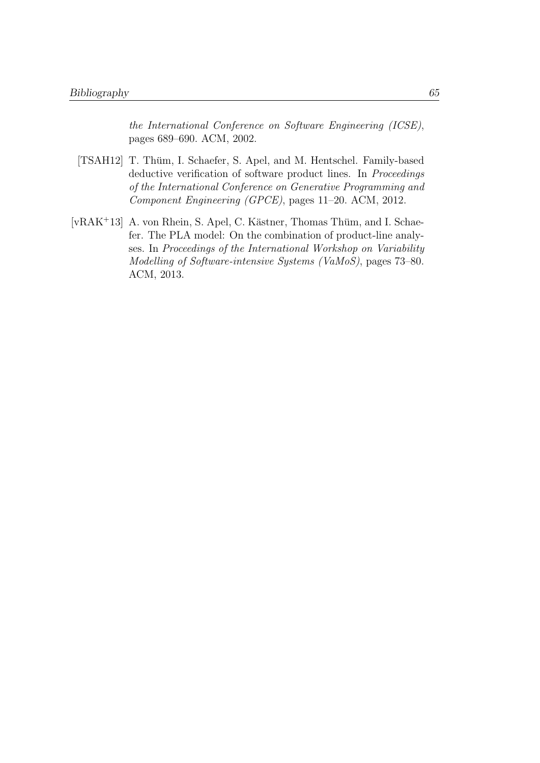the International Conference on Software Engineering (ICSE), pages 689–690. ACM, 2002.

- <span id="page-70-1"></span>[TSAH12] T. Thüm, I. Schaefer, S. Apel, and M. Hentschel. Family-based deductive verification of software product lines. In *Proceedings* of the International Conference on Generative Programming and Component Engineering (GPCE), pages 11–20. ACM, 2012.
- <span id="page-70-0"></span>[vRAK<sup>+</sup>13] A. von Rhein, S. Apel, C. Kästner, Thomas Thüm, and I. Schaefer. The PLA model: On the combination of product-line analyses. In Proceedings of the International Workshop on Variability Modelling of Software-intensive Systems (VaMoS), pages 73–80. ACM, 2013.